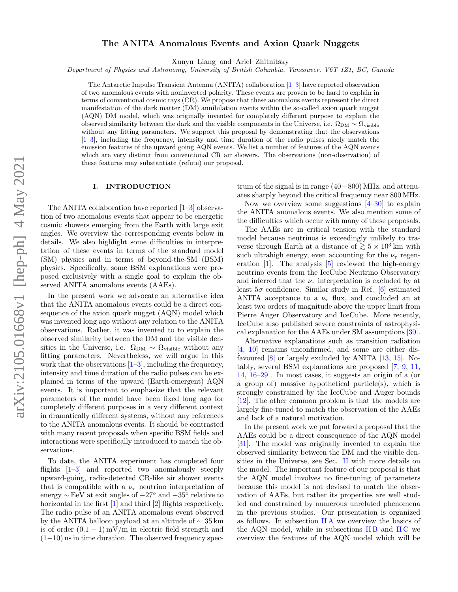# The ANITA Anomalous Events and Axion Quark Nuggets

Xunyu Liang and Ariel Zhitnitsky

Department of Physics and Astronomy, University of British Columbia, Vancouver, V6T 1Z1, BC, Canada

The Antarctic Impulse Transient Antenna (ANITA) collaboration [\[1](#page-12-0)[–3\]](#page-12-1) have reported observation of two anomalous events with noninverted polarity. These events are proven to be hard to explain in terms of conventional cosmic rays (CR). We propose that these anomalous events represent the direct manifestation of the dark matter (DM) annihilation events within the so-called axion quark nugget (AQN) DM model, which was originally invented for completely different purpose to explain the observed similarity between the dark and the visible components in the Universe, i.e.  $\Omega_{DM} \sim \Omega_{\text{visible}}$ without any fitting parameters. We support this proposal by demonstrating that the observations [\[1–](#page-12-0)[3\]](#page-12-1), including the frequency, intensity and time duration of the radio pulses nicely match the emission features of the upward going AQN events. We list a number of features of the AQN events which are very distinct from conventional CR air showers. The observations (non-observation) of these features may substantiate (refute) our proposal.

#### I. INTRODUCTION

The ANITA collaboration have reported [\[1–](#page-12-0)[3\]](#page-12-1) observation of two anomalous events that appear to be energetic cosmic showers emerging from the Earth with large exit angles. We overview the corresponding events below in details. We also highlight some difficulties in interpretation of these events in terms of the standard model (SM) physics and in terms of beyond-the-SM (BSM) physics. Specifically, some BSM explanations were proposed exclusively with a single goal to explain the observed ANITA anomalous events (AAEs).

In the present work we advocate an alternative idea that the ANITA anomalous events could be a direct consequence of the axion quark nugget (AQN) model which was invented long ago without any relation to the ANITA observations. Rather, it was invented to to explain the observed similarity between the DM and the visible densities in the Universe, i.e.  $\Omega_{\rm DM} \, \sim \, \Omega_{\rm visible}$  without any fitting parameters. Nevertheless, we will argue in this work that the observations  $[1-3]$  $[1-3]$ , including the frequency, intensity and time duration of the radio pulses can be explained in terms of the upward (Earth-emergent) AQN events. It is important to emphasize that the relevant parameters of the model have been fixed long ago for completely different purposes in a very different context in dramatically different systems, without any references to the ANITA anomalous events. It should be contrasted with many recent proposals when specific BSM fields and interactions were specifically introduced to match the observations.

To date, the ANITA experiment has completed four flights  $[1-3]$  $[1-3]$  and reported two anomalously steeply upward-going, radio-detected CR-like air shower events that is compatible with a  $\nu_{\tau}$  neutrino interpretation of energy ∼ EeV at exit angles of −27◦ and −35◦ relative to horizontal in the first [\[1\]](#page-12-0) and third [\[2\]](#page-12-2) flights respectively. The radio pulse of an ANITA anomalous event observed by the ANITA balloon payload at an altitude of ∼ 35 km is of order  $(0.1 - 1)$  mV/m in electric field strength and  $(1-10)$  ns in time duration. The observed frequency spectrum of the signal is in range (40−800) MHz, and attenuates sharply beyond the critical frequency near 800 MHz.

Now we overview some suggestions  $[4-30]$  $[4-30]$  to explain the ANITA anomalous events. We also mention some of the difficulties which occur with many of these proposals.

The AAEs are in critical tension with the standard model because neutrinos is exceedingly unlikely to traverse through Earth at a distance of  $\geq 5 \times 10^3$  km with such ultrahigh energy, even accounting for the  $\nu_{\tau}$  regeneration [\[1\]](#page-12-0). The analysis [\[5\]](#page-12-4) reviewed the high-energy neutrino events from the IceCube Neutrino Observatory and inferred that the  $\nu_{\tau}$  interpretation is excluded by at least  $5\sigma$  confidence. Similar study in Ref. [\[6\]](#page-13-1) estimated ANITA acceptance to a  $\nu_{\tau}$  flux, and concluded an at least two orders of magnitude above the upper limit from Pierre Auger Observatory and IceCube. More recently, IceCube also published severe constraints of astrophysical explanation for the AAEs under SM assumptions [\[30\]](#page-13-0).

Alternative explanations such as transition radiation [\[4,](#page-12-3) [10\]](#page-13-2) remains unconfirmed, and some are either disfavoured [\[8\]](#page-13-3) or largely excluded by ANITA [\[13,](#page-13-4) [15\]](#page-13-5). Notably, several BSM explanations are proposed [\[7,](#page-13-6) [9,](#page-13-7) [11,](#page-13-8) [14,](#page-13-9) [16](#page-13-10)[–29\]](#page-13-11). In most cases, it suggests an origin of a (or a group of) massive hypothetical particle(s), which is strongly constrained by the IceCube and Auger bounds [\[12\]](#page-13-12). The other common problem is that the models are largely fine-tuned to match the observation of the AAEs and lack of a natural motivation.

In the present work we put forward a proposal that the AAEs could be a direct consequence of the AQN model [\[31\]](#page-13-13). The model was originally invented to explain the observed similarity between the DM and the visible densities in the Universe, see Sec. [II](#page-1-0) with more details on the model. The important feature of our proposal is that the AQN model involves no fine-tuning of parameters because this model is not devised to match the observation of AAEs, but rather its properties are well studied and constrained by numerous unrelated phenomena in the previous studies. Our presentation is organized as follows. In subsection  $\mathbb{I}$  A we overview the basics of the AQN model, while in subsections IIB and IIC we overview the features of the AQN model which will be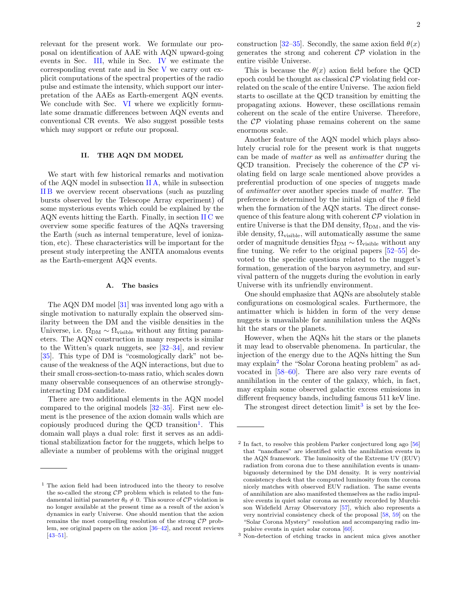relevant for the present work. We formulate our proposal on identification of AAE with AQN upward-going events in Sec. [III,](#page-4-0) while in Sec. [IV](#page-5-0) we estimate the corresponding event rate and in Sec [V](#page-6-0) we carry out explicit computations of the spectral properties of the radio pulse and estimate the intensity, which support our interpretation of the AAEs as Earth-emergent AQN events. We conclude with Sec. [VI](#page-9-0) where we explicitly formulate some dramatic differences between AQN events and conventional CR events. We also suggest possible tests which may support or refute our proposal.

# <span id="page-1-0"></span>II. THE AQN DM MODEL

We start with few historical remarks and motivation of the AQN model in subsection [II A,](#page-1-1) while in subsection [II B](#page-2-0) we overview recent observations (such as puzzling bursts observed by the Telescope Array experiment) of some mysterious events which could be explained by the AQN events hitting the Earth. Finally, in section  $\rm{HC}$  we overview some specific features of the AQNs traversing the Earth (such as internal temperature, level of ionization, etc). These characteristics will be important for the present study interpreting the ANITA anomalous events as the Earth-emergent AQN events.

#### <span id="page-1-1"></span>A. The basics

The AQN DM model [\[31\]](#page-13-13) was invented long ago with a single motivation to naturally explain the observed similarity between the DM and the visible densities in the Universe, i.e.  $\Omega_{DM} \sim \Omega_{visible}$  without any fitting parameters. The AQN construction in many respects is similar to the Witten's quark nuggets, see  $[32-34]$  $[32-34]$ , and review [\[35\]](#page-13-16). This type of DM is "cosmologically dark" not because of the weakness of the AQN interactions, but due to their small cross-section-to-mass ratio, which scales down many observable consequences of an otherwise stronglyinteracting DM candidate.

There are two additional elements in the AQN model compared to the original models [\[32–](#page-13-14)[35\]](#page-13-16). First new element is the presence of the axion domain walls which are copiously produced during the QCD transition<sup>[1](#page-1-2)</sup>. This domain wall plays a dual role: first it serves as an additional stabilization factor for the nuggets, which helps to alleviate a number of problems with the original nugget

construction [\[32](#page-13-14)[–35\]](#page-13-16). Secondly, the same axion field  $\theta(x)$ generates the strong and coherent  $\mathcal{CP}$  violation in the entire visible Universe.

This is because the  $\theta(x)$  axion field before the QCD epoch could be thought as classical  $\mathcal{CP}$  violating field correlated on the scale of the entire Universe. The axion field starts to oscillate at the QCD transition by emitting the propagating axions. However, these oscillations remain coherent on the scale of the entire Universe. Therefore, the  $\mathcal{CP}$  violating phase remains coherent on the same enormous scale.

Another feature of the AQN model which plays absolutely crucial role for the present work is that nuggets can be made of matter as well as antimatter during the QCD transition. Precisely the coherence of the  $\mathcal{CP}$  violating field on large scale mentioned above provides a preferential production of one species of nuggets made of antimatter over another species made of matter. The preference is determined by the initial sign of the  $\theta$  field when the formation of the AQN starts. The direct consequence of this feature along with coherent  $\mathcal{CP}$  violation in entire Universe is that the DM density,  $\Omega_{DM}$ , and the visible density,  $\Omega_{\text{visible}}$ , will automatically assume the same order of magnitude densities  $\Omega_{DM} \sim \Omega_{\text{visible}}$  without any fine tuning. We refer to the original papers [\[52–](#page-13-21)[55\]](#page-13-22) devoted to the specific questions related to the nugget's formation, generation of the baryon asymmetry, and survival pattern of the nuggets during the evolution in early Universe with its unfriendly environment.

One should emphasize that AQNs are absolutely stable configurations on cosmological scales. Furthermore, the antimatter which is hidden in form of the very dense nuggets is unavailable for annihilation unless the AQNs hit the stars or the planets.

However, when the AQNs hit the stars or the planets it may lead to observable phenomena. In particular, the injection of the energy due to the AQNs hitting the Sun may explain<sup>[2](#page-1-3)</sup> the "Solar Corona heating problem" as advocated in [\[58–](#page-13-23)[60\]](#page-13-24). There are also very rare events of annihilation in the center of the galaxy, which, in fact, may explain some observed galactic excess emissions in different frequency bands, including famous 511 keV line.

The strongest direct detection  $\text{limit}^3$  $\text{limit}^3$  is set by the Ice-

<span id="page-1-2"></span> $<sup>1</sup>$  The axion field had been introduced into the theory to resolve</sup> the so-called the strong  $\mathcal{CP}$  problem which is related to the fundamental initial parameter  $\theta_0 \neq 0$ . This source of  $\mathcal{CP}$  violation is no longer available at the present time as a result of the axion's dynamics in early Universe. One should mention that the axion remains the most compelling resolution of the strong  $\mathcal{CP}$  problem, see original papers on the axion [\[36–](#page-13-17)[42\]](#page-13-18), and recent reviews  $[43-51]$  $[43-51]$ .

<span id="page-1-3"></span><sup>&</sup>lt;sup>2</sup> In fact, to resolve this problem Parker conjectured long ago [\[56\]](#page-13-25) that "nanoflares" are identified with the annihilation events in the AQN framework. The luminosity of the Extreme UV (EUV) radiation from corona due to these annihilation events is unambiguously determined by the DM density. It is very nontrivial consistency check that the computed luminosity from the corona nicely matches with observed EUV radiation. The same events of annihilation are also manifested themselves as the radio impulsive events in quiet solar corona as recently recorded by Murchison Widefield Array Observatory [\[57\]](#page-13-26), which also represents a very nontrivial consistency check of the proposal [\[58,](#page-13-23) [59\]](#page-13-27) on the "Solar Corona Mystery" resolution and accompanying radio impulsive events in quiet solar corona [\[60\]](#page-13-24).

<span id="page-1-4"></span><sup>3</sup> Non-detection of etching tracks in ancient mica gives another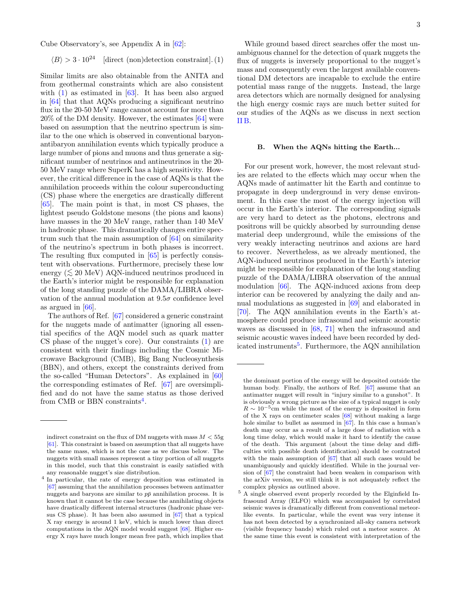Cube Observatory's, see Appendix A in [\[62\]](#page-13-28):

<span id="page-2-1"></span>
$$
\langle B \rangle > 3 \cdot 10^{24} \quad \text{[direct (non)detection constraint]}.\,(1)
$$

Similar limits are also obtainable from the ANITA and from geothermal constraints which are also consistent with  $(1)$  as estimated in  $[63]$ . It has been also argued in [\[64\]](#page-14-0) that that AQNs producing a significant neutrino flux in the 20-50 MeV range cannot account for more than 20% of the DM density. However, the estimates [\[64\]](#page-14-0) were based on assumption that the neutrino spectrum is similar to the one which is observed in conventional baryonantibaryon annihilation events which typically produce a large number of pions and muons and thus generate a significant number of neutrinos and antineutrinos in the 20- 50 MeV range where SuperK has a high sensitivity. However, the critical difference in the case of AQNs is that the annihilation proceeds within the colour superconducting (CS) phase where the energetics are drastically different [\[65\]](#page-14-1). The main point is that, in most CS phases, the lightest pseudo Goldstone mesons (the pions and kaons) have masses in the 20 MeV range, rather than 140 MeV in hadronic phase. This dramatically changes entire spectrum such that the main assumption of [\[64\]](#page-14-0) on similarity of the neutrino's spectrum in both phases is incorrect. The resulting flux computed in [\[65\]](#page-14-1) is perfectly consistent with observations. Furthermore, precisely these low energy ( $\lesssim 20$  MeV) AQN-induced neutrinos produced in the Earth's interior might be responsible for explanation of the long standing puzzle of the DAMA/LIBRA observation of the annual modulation at  $9.5\sigma$  confidence level as argued in [\[66\]](#page-14-2).

The authors of Ref. [\[67\]](#page-14-3) considered a generic constraint for the nuggets made of antimatter (ignoring all essential specifics of the AQN model such as quark matter CS phase of the nugget's core). Our constraints [\(1\)](#page-2-1) are consistent with their findings including the Cosmic Microwave Background (CMB), Big Bang Nucleosynthesis (BBN), and others, except the constraints derived from the so-called "Human Detectors". As explained in [\[60\]](#page-13-24) the corresponding estimates of Ref. [\[67\]](#page-14-3) are oversimplified and do not have the same status as those derived from CMB or BBN constraints<sup>[4](#page-2-2)</sup>.

While ground based direct searches offer the most unambiguous channel for the detection of quark nuggets the flux of nuggets is inversely proportional to the nugget's mass and consequently even the largest available conventional DM detectors are incapable to exclude the entire potential mass range of the nuggets. Instead, the large area detectors which are normally designed for analysing the high energy cosmic rays are much better suited for our studies of the AQNs as we discuss in next section [II B.](#page-2-0)

### <span id="page-2-0"></span>B. When the AQNs hitting the Earth...

For our present work, however, the most relevant studies are related to the effects which may occur when the AQNs made of antimatter hit the Earth and continue to propagate in deep underground in very dense environment. In this case the most of the energy injection will occur in the Earth's interior. The corresponding signals are very hard to detect as the photons, electrons and positrons will be quickly absorbed by surrounding dense material deep underground, while the emissions of the very weakly interacting neutrinos and axions are hard to recover. Nevertheless, as we already mentioned, the AQN-induced neutrinos produced in the Earth's interior might be responsible for explanation of the long standing puzzle of the DAMA/LIBRA observation of the annual modulation [\[66\]](#page-14-2). The AQN-induced axions from deep interior can be recovered by analyzing the daily and annual modulations as suggested in [\[69\]](#page-14-5) and elaborated in [\[70\]](#page-14-6). The AQN annihilation events in the Earth's atmosphere could produce infrasound and seismic acoustic waves as discussed in [\[68,](#page-14-4) [71\]](#page-14-7) when the infrasound and seismic acoustic waves indeed have been recorded by ded-icated instruments<sup>[5](#page-2-3)</sup>. Furthermore, the AQN annihilation

indirect constraint on the flux of DM nuggets with mass  $M < 55$ g [\[61\]](#page-13-30). This constraint is based on assumption that all nuggets have the same mass, which is not the case as we discuss below. The nuggets with small masses represent a tiny portion of all nuggets in this model, such that this constraint is easily satisfied with any reasonable nugget's size distribution.

<span id="page-2-2"></span><sup>4</sup> In particular, the rate of energy deposition was estimated in [\[67\]](#page-14-3) assuming that the annihilation processes between antimatter nuggets and baryons are similar to  $p\bar{p}$  annihilation process. It is known that it cannot be the case because the annihilating objects have drastically different internal structures (hadronic phase versus CS phase). It has been also assumed in [\[67\]](#page-14-3) that a typical X ray energy is around 1 keV, which is much lower than direct computations in the AQN model would suggest [\[68\]](#page-14-4). Higher energy X rays have much longer mean free path, which implies that

the dominant portion of the energy will be deposited outside the human body. Finally, the authors of Ref. [\[67\]](#page-14-3) assume that an antimatter nugget will result in "injury similar to a gunshot". It is obviously a wrong picture as the size of a typical nugget is only  $R \sim 10^{-5}$ cm while the most of the energy is deposited in form of the X rays on centimeter scales [\[68\]](#page-14-4) without making a large hole similar to bullet as assumed in [\[67\]](#page-14-3). In this case a human's death may occur as a result of a large dose of radiation with a long time delay, which would make it hard to identify the cause of the death. This argument (about the time delay and difficulties with possible death identification) should be contrasted with the main assumption of  $[67]$  that all such cases would be unambiguously and quickly identified. While in the journal version of [\[67\]](#page-14-3) the constraint had been weaken in comparison with the arXiv version, we still think it is not adequately reflect the complex physics as outlined above.

<span id="page-2-3"></span><sup>5</sup> A single observed event properly recorded by the Elginfield Infrasound Array (ELFO) which was accompanied by correlated seismic waves is dramatically different from conventional meteorlike events. In particular, while the event was very intense it has not been detected by a synchronized all-sky camera network (visible frequency bands) which ruled out a meteor source. At the same time this event is consistent with interpretation of the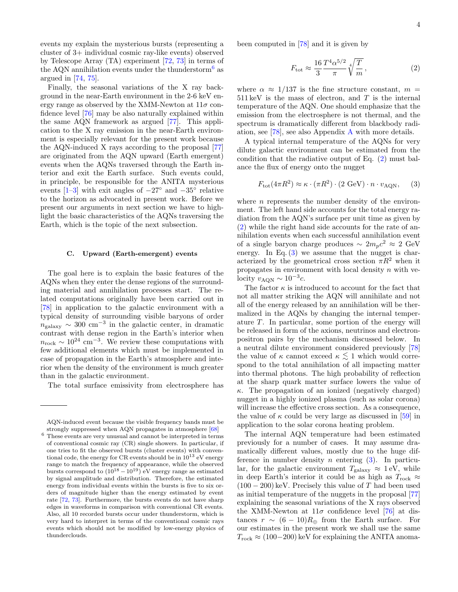events my explain the mysterious bursts (representing a cluster of 3+ individual cosmic ray-like events) observed by Telescope Array (TA) experiment [\[72,](#page-14-8) [73\]](#page-14-9) in terms of the AQN annihilation events under the thunderstorm<sup>[6](#page-3-1)</sup> as argued in [\[74,](#page-14-10) [75\]](#page-14-11).

Finally, the seasonal variations of the X ray background in the near-Earth environment in the 2-6 keV energy range as observed by the XMM-Newton at  $11\sigma$  confidence level [\[76\]](#page-14-12) may be also naturally explained within the same AQN framework as argued [\[77\]](#page-14-13). This application to the X ray emission in the near-Earth environment is especially relevant for the present work because the AQN-induced X rays according to the proposal [\[77\]](#page-14-13) are originated from the AQN upward (Earth emergent) events when the AQNs traversed through the Earth interior and exit the Earth surface. Such events could, in principle, be responsible for the ANITA mysterious events  $[1-3]$  $[1-3]$  with exit angles of  $-27°$  and  $-35°$  relative to the horizon as advocated in present work. Before we present our arguments in next section we have to highlight the basic characteristics of the AQNs traversing the Earth, which is the topic of the next subsection.

#### <span id="page-3-0"></span>C. Upward (Earth-emergent) events

The goal here is to explain the basic features of the AQNs when they enter the dense regions of the surrounding material and annihilation processes start. The related computations originally have been carried out in [\[78\]](#page-14-14) in application to the galactic environment with a typical density of surrounding visible baryons of order  $n_{\text{galaxy}} \sim 300 \text{ cm}^{-3}$  in the galactic center, in dramatic contrast with dense region in the Earth's interior when  $n_{\rm rock} \sim 10^{24}$  cm<sup>-3</sup>. We review these computations with few additional elements which must be implemented in case of propagation in the Earth's atmosphere and interior when the density of the environment is much greater than in the galactic environment.

The total surface emissivity from electrosphere has

been computed in [\[78\]](#page-14-14) and it is given by

<span id="page-3-2"></span>
$$
F_{\text{tot}} \approx \frac{16}{3} \frac{T^4 \alpha^{5/2}}{\pi} \sqrt[4]{\frac{T}{m}},\tag{2}
$$

where  $\alpha \approx 1/137$  is the fine structure constant,  $m =$  $511 \,\text{keV}$  is the mass of electron, and T is the internal temperature of the AQN. One should emphasize that the emission from the electrosphere is not thermal, and the spectrum is dramatically different from blackbody radiation, see [\[78\]](#page-14-14), see also Appendix [A](#page-10-0) with more details.

A typical internal temperature of the AQNs for very dilute galactic environment can be estimated from the condition that the radiative output of Eq. [\(2\)](#page-3-2) must balance the flux of energy onto the nugget

<span id="page-3-3"></span>
$$
F_{\rm tot}(4\pi R^2) \approx \kappa \cdot (\pi R^2) \cdot (2 \text{ GeV}) \cdot n \cdot v_{\rm AQN}, \quad (3)
$$

where  $n$  represents the number density of the environment. The left hand side accounts for the total energy radiation from the AQN's surface per unit time as given by [\(2\)](#page-3-2) while the right hand side accounts for the rate of annihilation events when each successful annihilation event of a single baryon charge produces  $\sim 2m_pc^2 \approx 2 \text{ GeV}$ energy. In Eq.  $(3)$  we assume that the nugget is characterized by the geometrical cross section  $\pi R^2$  when it propagates in environment with local density n with velocity  $v_{\rm AQN} \sim 10^{-3}c$ .

The factor  $\kappa$  is introduced to account for the fact that not all matter striking the AQN will annihilate and not all of the energy released by an annihilation will be thermalized in the AQNs by changing the internal temperature T. In particular, some portion of the energy will be released in form of the axions, neutrinos and electronpositron pairs by the mechanism discussed below. In a neutral dilute environment considered previously [\[78\]](#page-14-14) the value of  $\kappa$  cannot exceed  $\kappa \lesssim 1$  which would correspond to the total annihilation of all impacting matter into thermal photons. The high probability of reflection at the sharp quark matter surface lowers the value of  $\kappa$ . The propagation of an ionized (negatively charged) nugget in a highly ionized plasma (such as solar corona) will increase the effective cross section. As a consequence, the value of  $\kappa$  could be very large as discussed in [\[59\]](#page-13-27) in application to the solar corona heating problem.

The internal AQN temperature had been estimated previously for a number of cases. It may assume dramatically different values, mostly due to the huge difference in number density  $n$  entering  $(3)$ . In particular, for the galactic environment  $T_{\text{galaxy}} \approx 1 \text{ eV}$ , while in deep Earth's interior it could be as high as  $T_{\text{rock}} \approx$  $(100 - 200)$  keV. Precisely this value of T had been used as initial temperature of the nuggets in the proposal [\[77\]](#page-14-13) explaining the seasonal variations of the X rays observed the XMM-Newton at  $11\sigma$  confidence level [\[76\]](#page-14-12) at distances  $r \sim (6-10)R_{\oplus}$  from the Earth surface. For our estimates in the present work we shall use the same  $T_{\text{rock}} \approx (100-200) \text{ keV}$  for explaining the ANITA anoma-

AQN-induced event because the visible frequency bands must be strongly suppressed when AQN propagates in atmosphere [\[68\]](#page-14-4)

<span id="page-3-1"></span><sup>6</sup> These events are very unusual and cannot be interpreted in terms of conventional cosmic ray (CR) single showers. In particular, if one tries to fit the observed bursts (cluster events) with conventional code, the energy for CR events should be in  $10^{13}$  eV energy range to match the frequency of appearance, while the observed bursts correspond to  $(10^{18} – 10^{19})$  eV energy range as estimated by signal amplitude and distribution. Therefore, the estimated energy from individual events within the bursts is five to six orders of magnitude higher than the energy estimated by event rate [\[72,](#page-14-8) [73\]](#page-14-9). Furthermore, the bursts events do not have sharp edges in waveforms in comparison with conventional CR events. Also, all 10 recorded bursts occur under thunderstorm, which is very hard to interpret in terms of the conventional cosmic rays events which should not be modified by low-energy physics of thunderclouds.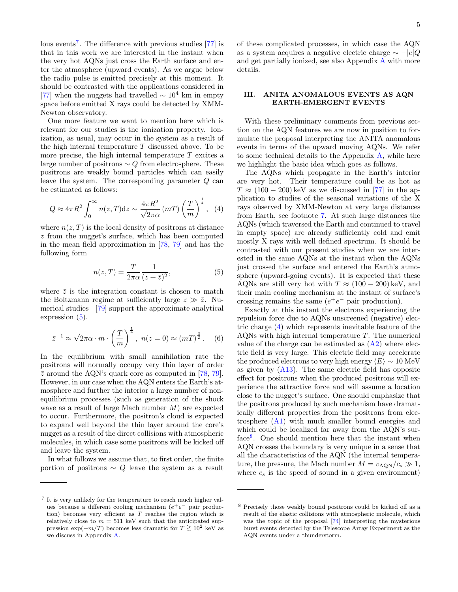lous events<sup>[7](#page-4-1)</sup>. The difference with previous studies [\[77\]](#page-14-13) is that in this work we are interested in the instant when the very hot AQNs just cross the Earth surface and enter the atmosphere (upward events). As we argue below the radio pulse is emitted precisely at this moment. It should be contrasted with the applications considered in [\[77\]](#page-14-13) when the nuggets had travelled  $\sim 10^4$  km in empty space before emitted X rays could be detected by XMM-Newton observatory.

One more feature we want to mention here which is relevant for our studies is the ionization property. Ionization, as usual, may occur in the system as a result of the high internal temperature  $T$  discussed above. To be more precise, the high internal temperature  $T$  excites a large number of positrons  $\sim Q$  from electrosphere. These positrons are weakly bound particles which can easily leave the system. The corresponding parameter Q can be estimated as follows:

<span id="page-4-3"></span>
$$
Q \approx 4\pi R^2 \int_0^\infty n(z,T) \mathrm{d}z \sim \frac{4\pi R^2}{\sqrt{2\pi\alpha}} \left(mT\right) \left(\frac{T}{m}\right)^{\frac{1}{4}}, \quad (4)
$$

where  $n(z,T)$  is the local density of positrons at distance z from the nugget's surface, which has been computed in the mean field approximation in [\[78,](#page-14-14) [79\]](#page-14-15) and has the following form

<span id="page-4-2"></span>
$$
n(z,T) = \frac{T}{2\pi\alpha} \frac{1}{(z+\bar{z})^2},\tag{5}
$$

where  $\bar{z}$  is the integration constant is chosen to match the Boltzmann regime at sufficiently large  $z \gg \bar{z}$ . Numerical studies [\[79\]](#page-14-15) support the approximate analytical expression [\(5\)](#page-4-2).

<span id="page-4-5"></span>
$$
\bar{z}^{-1} \approx \sqrt{2\pi\alpha} \cdot m \cdot \left(\frac{T}{m}\right)^{\frac{1}{4}}, \ n(z=0) \approx (mT)^{\frac{3}{2}}.
$$
 (6)

In the equilibrium with small annihilation rate the positrons will normally occupy very thin layer of order  $\bar{z}$  around the AQN's quark core as computed in [\[78,](#page-14-14) [79\]](#page-14-15). However, in our case when the AQN enters the Earth's atmosphere and further the interior a large number of nonequilibrium processes (such as generation of the shock wave as a result of large Mach number M) are expected to occur. Furthermore, the positron's cloud is expected to expand well beyond the thin layer around the core's nugget as a result of the direct collisions with atmospheric molecules, in which case some positrons will be kicked off and leave the system.

In what follows we assume that, to first order, the finite portion of positrons  $\sim Q$  leave the system as a result of these complicated processes, in which case the AQN as a system acquires a negative electric charge  $\sim -|e|Q$ and get partially ionized, see also Appendix [A](#page-10-0) with more details.

### <span id="page-4-0"></span>III. ANITA ANOMALOUS EVENTS AS AQN EARTH-EMERGENT EVENTS

With these preliminary comments from previous section on the AQN features we are now in position to formulate the proposal interpreting the ANITA anomalous events in terms of the upward moving AQNs. We refer to some technical details to the Appendix [A,](#page-10-0) while here we highlight the basic idea which goes as follows.

The AQNs which propagate in the Earth's interior are very hot. Their temperature could be as hot as  $T \approx (100 - 200) \,\text{keV}$  as we discussed in [\[77\]](#page-14-13) in the application to studies of the seasonal variations of the X rays observed by XMM-Newton at very large distances from Earth, see footnote [7.](#page-4-1) At such large distances the AQNs (which traversed the Earth and continued to travel in empty space) are already sufficiently cold and emit mostly X rays with well defined spectrum. It should be contrasted with our present studies when we are interested in the same AQNs at the instant when the AQNs just crossed the surface and entered the Earth's atmosphere (upward-going events). It is expected that these AQNs are still very hot with  $T \approx (100 - 200) \,\text{keV}$ , and their main cooling mechanism at the instant of surface's crossing remains the same  $(e^+e^-)$  pair production).

Exactly at this instant the electrons experiencing the repulsion force due to AQNs unscreened (negative) electric charge [\(4\)](#page-4-3) which represents inevitable feature of the AQNs with high internal temperature T. The numerical value of the charge can be estimated as  $(A2)$  where electric field is very large. This electric field may accelerate the produced electrons to very high energy  $\langle E \rangle \sim 10 \text{ MeV}$ as given by  $(A13)$ . The same electric field has opposite effect for positrons when the produced positrons will experience the attractive force and will assume a location close to the nugget's surface. One should emphasize that the positrons produced by such mechanism have dramatically different properties from the positrons from electrosphere [\(A1\)](#page-10-1) with much smaller bound energies and which could be localized far away from the AQN's sur-face<sup>[8](#page-4-4)</sup>. One should mention here that the instant when AQN crosses the boundary is very unique in a sense that all the characteristics of the AQN (the internal temperature, the pressure, the Mach number  $M = v_{AQN}/c_s \gg 1$ , where  $c_s$  is the speed of sound in a given environment)

<span id="page-4-1"></span><sup>7</sup> It is very unlikely for the temperature to reach much higher values because a different cooling mechanism  $(e^+e^-)$  pair production) becomes very efficient as  $T$  reaches the region which is relatively close to  $m = 511$  keV such that the anticipated suppression  $\exp(-m/T)$  becomes less dramatic for  $T \gtrsim 10^2$  keV as we discuss in Appendix [A.](#page-10-0)

<span id="page-4-4"></span><sup>8</sup> Precisely those weakly bound positrons could be kicked off as a result of the elastic collisions with atmospheric molecule, which was the topic of the proposal [\[74\]](#page-14-10) interpreting the mysterious burst events detected by the Telescope Array Experiment as the AQN events under a thunderstorm.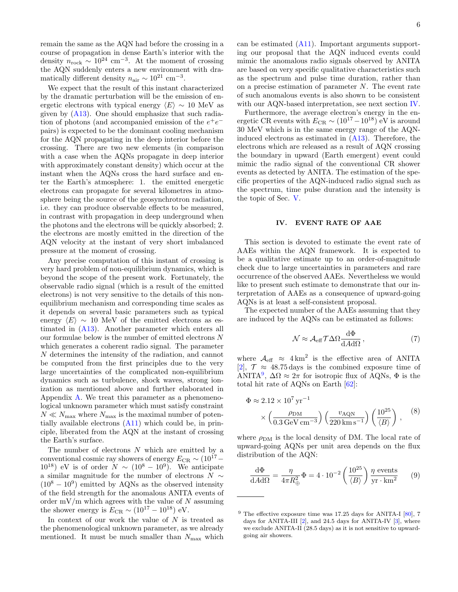remain the same as the AQN had before the crossing in a course of propagation in dense Earth's interior with the density  $n_{\rm rock} \sim 10^{24} \text{ cm}^{-3}$ . At the moment of crossing the AQN suddenly enters a new environment with dramatically different density  $n_{\text{air}} \sim 10^{21} \text{ cm}^{-3}$ .

We expect that the result of this instant characterized by the dramatic perturbation will be the emission of energetic electrons with typical energy  $\langle E \rangle \sim 10$  MeV as given by  $(A13)$ . One should emphasize that such radiation of photons (and accompanied emission of the  $e^+e^$ pairs) is expected to be the dominant cooling mechanism for the AQN propagating in the deep interior before the crossing. There are two new elements (in comparison with a case when the AQNs propagate in deep interior with approximately constant density) which occur at the instant when the AQNs cross the hard surface and enter the Earth's atmosphere: 1. the emitted energetic electrons can propagate for several kilometres in atmosphere being the source of the geosynchrotron radiation, i.e. they can produce observable effects to be measured, in contrast with propagation in deep underground when the photons and the electrons will be quickly absorbed; 2. the electrons are mostly emitted in the direction of the AQN velocity at the instant of very short imbalanced pressure at the moment of crossing.

Any precise computation of this instant of crossing is very hard problem of non-equilibrium dynamics, which is beyond the scope of the present work. Fortunately, the observable radio signal (which is a result of the emitted electrons) is not very sensitive to the details of this nonequilibrium mechanism and corresponding time scales as it depends on several basic parameters such as typical energy  $\langle E \rangle \sim 10$  MeV of the emitted electrons as estimated in [\(A13\)](#page-12-5). Another parameter which enters all our formulae below is the number of emitted electrons  $N$ which generates a coherent radio signal. The parameter N determines the intensity of the radiation, and cannot be computed from the first principles due to the very large uncertainties of the complicated non-equilibrium dynamics such as turbulence, shock waves, strong ionization as mentioned above and further elaborated in Appendix [A.](#page-10-0) We treat this parameter as a phenomenological unknown parameter which must satisfy constraint  $N \ll N_{\rm max}$  where  $N_{\rm max}$  is the maximal number of potentially available electrons  $(A11)$  which could be, in principle, liberated from the AQN at the instant of crossing the Earth's surface.

The number of electrons  $N$  which are emitted by a conventional cosmic ray showers of energy  $E_{CR} \sim (10^{17} 10^{18}$ ) eV is of order  $N \sim (10^8 - 10^9)$ . We anticipate a similar magnitude for the number of electrons  $N \sim$  $(10^8 - 10^9)$  emitted by AQNs as the observed intensity of the field strength for the anomalous ANITA events of order  $mV/m$  which agrees with the value of N assuming the shower energy is  $E_{CR} \sim (10^{17} - 10^{18})$  eV.

In context of our work the value of  $N$  is treated as the phenomenological unknown parameter, as we already mentioned. It must be much smaller than  $N_{\text{max}}$  which

can be estimated [\(A11\)](#page-12-6). Important arguments supporting our proposal that the AQN induced events could mimic the anomalous radio signals observed by ANITA are based on very specific qualitative characteristics such as the spectrum and pulse time duration, rather than on a precise estimation of parameter  $N$ . The event rate of such anomalous events is also shown to be consistent with our AQN-based interpretation, see next section [IV.](#page-5-0)

Furthermore, the average electron's energy in the energetic CR events with  $E_{CR} \sim (10^{17} - 10^{18})$  eV is around 30 MeV which is in the same energy range of the AQNinduced electrons as estimated in [\(A13\)](#page-12-5). Therefore, the electrons which are released as a result of AQN crossing the boundary in upward (Earth emergent) event could mimic the radio signal of the conventional CR shower events as detected by ANITA. The estimation of the specific properties of the AQN-induced radio signal such as the spectrum, time pulse duration and the intensity is the topic of Sec. [V.](#page-6-0)

#### <span id="page-5-0"></span>IV. EVENT RATE OF AAE

This section is devoted to estimate the event rate of AAEs within the AQN framework. It is expected to be a qualitative estimate up to an order-of-magnitude check due to large uncertainties in parameters and rare occurrence of the observed AAEs. Nevertheless we would like to present such estimate to demonstrate that our interpretation of AAEs as a consequence of upward-going AQNs is at least a self-consistent proposal.

The expected number of the AAEs assuming that they are induced by the AQNs can be estimated as follows:

$$
\mathcal{N} \approx \mathcal{A}_{\text{eff}} \mathcal{T} \Delta \Omega \frac{\text{d}\Phi}{\text{d}A \text{d}\Omega} \,, \tag{7}
$$

where  $A_{\text{eff}} \approx 4 \text{ km}^2$  is the effective area of ANITA [\[2\]](#page-12-2),  $\mathcal{T} \approx 48.75 \,\text{days}$  is the combined exposure time of ANITA<sup>[9](#page-5-1)</sup>,  $\Delta\Omega \approx 2\pi$  for isotropic flux of AQNs,  $\Phi$  is the total hit rate of AQNs on Earth [\[62\]](#page-13-28):

$$
\Phi \approx 2.12 \times 10^7 \,\text{yr}^{-1}
$$

$$
\times \left(\frac{\rho_{\text{DM}}}{0.3 \,\text{GeV cm}^{-3}}\right) \left(\frac{v_{\text{AQN}}}{220 \,\text{km s}^{-1}}\right) \left(\frac{10^{25}}{\langle B \rangle}\right), \quad (8)
$$

where  $\rho_{DM}$  is the local density of DM. The local rate of upward-going AQNs per unit area depends on the flux distribution of the AQN:

<span id="page-5-2"></span>
$$
\frac{\mathrm{d}\Phi}{\mathrm{d}A\mathrm{d}\Omega} = \frac{\eta}{4\pi R_{\oplus}^2} \Phi = 4 \cdot 10^{-2} \left(\frac{10^{25}}{\langle B \rangle}\right) \frac{\eta \text{ events}}{\text{yr} \cdot \text{km}^2} \qquad (9)
$$

<span id="page-5-1"></span> $9$  The effective exposure time was 17.25 days for ANITA-I [\[80\]](#page-14-16), 7 days for ANITA-III [\[2\]](#page-12-2), and 24.5 days for ANITA-IV [\[3\]](#page-12-1), where we exclude ANITA-II (28.5 days) as it is not sensitive to upwardgoing air showers.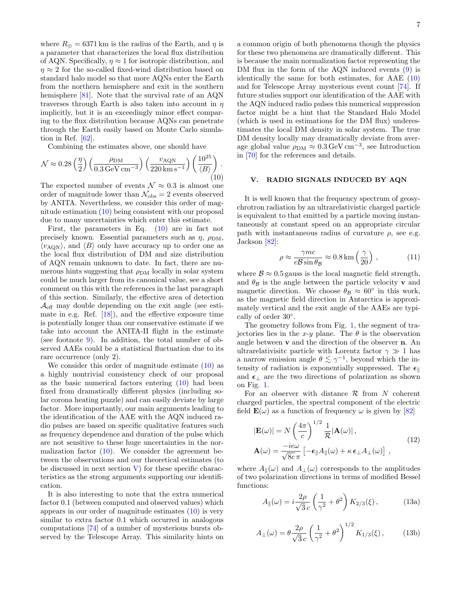where  $R_{\oplus} = 6371 \,\mathrm{km}$  is the radius of the Earth, and  $\eta$  is a parameter that characterizes the local flux distribution of AQN. Specifically,  $\eta \approx 1$  for isotropic distribution, and  $\eta \approx 2$  for the so-called fixed-wind distribution based on standard halo model so that more AQNs enter the Earth from the northern hemisphere and exit in the southern hemisphere [\[81\]](#page-14-17). Note that the survival rate of an AQN traverses through Earth is also taken into account in  $\eta$ implicitly, but it is an exceedingly minor effect comparing to the flux distribution because AQNs can penetrate through the Earth easily based on Monte Carlo simulation in Ref. [\[62\]](#page-13-28).

Combining the estimates above, one should have

$$
\mathcal{N} \approx 0.28 \left(\frac{\eta}{2}\right) \left(\frac{\rho_{\rm DM}}{0.3 \,\text{GeV cm}^{-3}}\right) \left(\frac{v_{\rm AQN}}{220 \,\text{km s}^{-1}}\right) \left(\frac{10^{25}}{\langle B \rangle}\right). \tag{10}
$$

The expected number of events  $\mathcal{N} \approx 0.3$  is almost one order of magnitude lower than  $\mathcal{N}_{\text{obs}} = 2$  events observed by ANITA. Nevertheless, we consider this order of magnitude estimation [\(10\)](#page-6-1) being consistent with our proposal due to many uncertainties which enter this estimate.

First, the parameters in Eq. [\(10\)](#page-6-1) are in fact not precisely known. Essential parameters such as  $\eta$ ,  $\rho_{DM}$ ,  $\langle v_{\rm AQN} \rangle$ , and  $\langle B \rangle$  only have accuracy up to order one as the local flux distribution of DM and size distribution of AQN remain unknown to date. In fact, there are numerous hints suggesting that  $\rho_{DM}$  locally in solar system could be much larger from its canonical value, see a short comment on this with the references in the last paragraph of this section. Similarly, the effective area of detection  $\mathcal{A}_{\text{eff}}$  may double depending on the exit angle (see estimate in e.g. Ref.  $[18]$ , and the effective exposure time is potentially longer than our conservative estimate if we take into account the ANITA-II flight in the estimate (see footnote [9\)](#page-5-1). In addition, the total number of observed AAEs could be a statistical fluctuation due to its rare occurrence (only 2).

We consider this order of magnitude estimate [\(10\)](#page-6-1) as a highly nontrivial consistency check of our proposal as the basic numerical factors entering [\(10\)](#page-6-1) had been fixed from dramatically different physics (including solar corona heating puzzle) and can easily deviate by large factor. More importantly, our main arguments leading to the identification of the AAE with the AQN induced radio pulses are based on specific qualitative features such as frequency dependence and duration of the pulse which are not sensitive to these huge uncertainties in the normalization factor  $(10)$ . We consider the agreement between the observations and our theoretical estimates (to be discussed in next section  $V$ ) for these specific characteristics as the strong arguments supporting our identification.

It is also interesting to note that the extra numerical factor 0.1 (between computed and observed values) which appears in our order of magnitude estimates  $(10)$  is very similar to extra factor 0.1 which occurred in analogous computations [\[74\]](#page-14-10) of a number of mysterious bursts observed by the Telescope Array. This similarity hints on

a common origin of both phenomena though the physics for these two phenomena are dramatically different. This is because the main normalization factor representing the DM flux in the form of the AQN induced events [\(9\)](#page-5-2) is identically the same for both estimates, for  $AAE$  [\(10\)](#page-6-1) and for Telescope Array mysterious event count [\[74\]](#page-14-10). If future studies support our identification of the AAE with the AQN induced radio pulses this numerical suppression factor might be a hint that the Standard Halo Model (which is used in estimations for the DM flux) underestimates the local DM density in solar system. The true DM density locally may dramatically deviate from average global value  $\rho_{DM} \approx 0.3 \,\text{GeV} \,\text{cm}^{-3}$ , see Introduction in [\[70\]](#page-14-6) for the references and details.

### <span id="page-6-1"></span><span id="page-6-0"></span>V. RADIO SIGNALS INDUCED BY AQN

It is well known that the frequency spectrum of geosychrotron radiation by an ultrarelativistic charged particle is equivalent to that emitted by a particle moving instantaneously at constant speed on an appropriate circular path with instantaneous radius of curvature  $\rho$ , see e.g. Jackson [\[82\]](#page-14-18):

<span id="page-6-4"></span>
$$
\rho \approx \frac{\gamma mc}{e \mathcal{B} \sin \theta_{\mathcal{B}}} \approx 0.8 \,\mathrm{km} \left( \frac{\gamma}{20} \right) ,\qquad (11)
$$

where  $\mathcal{B} \approx 0.5$  gauss is the local magnetic field strength, and  $\theta_B$  is the angle between the particle velocity **v** and magnetic direction. We choose  $\theta_{\mathcal{B}} \approx 60^{\circ}$  in this work, as the magnetic field direction in Antarctica is approximately vertical and the exit angle of the AAEs are typically of order 30◦ .

The geometry follows from Fig. [1,](#page-7-0) the segment of trajectories lies in the x-y plane. The  $\theta$  is the observation angle between v and the direction of the observer n. An ultrarelativisite particle with Lorentz factor  $\gamma \gg 1$  has a narrow emission angle  $\theta \lesssim \gamma^{-1}$ , beyond which the intensity of radiation is exponentially suppressed. The  $\epsilon_{\parallel}$ and  $\epsilon_{\perp}$  are the two directions of polarization as shown on Fig. [1.](#page-7-0)

For an observer with distance  $\mathcal R$  from N coherent charged particles, the spectral component of the electric field  $\mathbf{E}(\omega)$  as a function of frequency  $\omega$  is given by [\[82\]](#page-14-18)

<span id="page-6-3"></span>
$$
|\mathbf{E}(\omega)| = N \left(\frac{4\pi}{c}\right)^{1/2} \frac{1}{\mathcal{R}} |\mathbf{A}(\omega)|,
$$
  

$$
\mathbf{A}(\omega) = \frac{-ie\omega}{\sqrt{8c}\pi} \left[ -\epsilon_{\parallel} A_{\parallel}(\omega) + \kappa \epsilon_{\perp} A_{\perp}(\omega) \right],
$$
 (12)

where  $A_{\parallel}(\omega)$  and  $A_{\perp}(\omega)$  corresponds to the amplitudes of two polarization directions in terms of modified Bessel functions:

<span id="page-6-2"></span>
$$
A_{\parallel}(\omega) = i \frac{2\rho}{\sqrt{3}c} \left(\frac{1}{\gamma^2} + \theta^2\right) K_{2/3}(\xi) ,\qquad (13a)
$$

$$
A_{\perp}(\omega) = \theta \frac{2\rho}{\sqrt{3}c} \left(\frac{1}{\gamma^2} + \theta^2\right)^{1/2} K_{1/3}(\xi), \quad (13b)
$$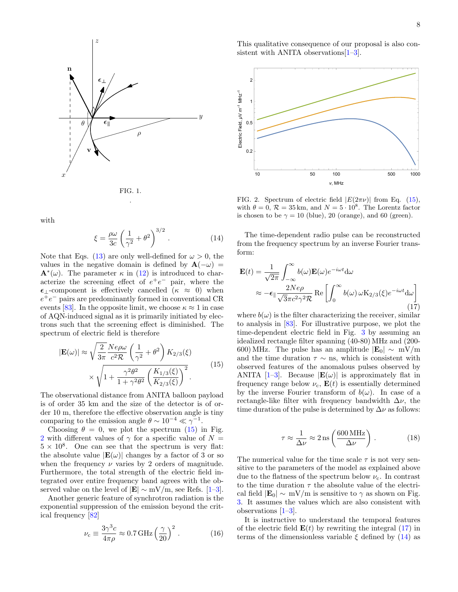

<span id="page-7-0"></span>

<span id="page-7-4"></span>with

$$
\xi = \frac{\rho \omega}{3c} \left( \frac{1}{\gamma^2} + \theta^2 \right)^{3/2} . \tag{14}
$$

Note that Eqs. [\(13\)](#page-6-2) are only well-defined for  $\omega > 0$ , the values in the negative domain is defined by  $\mathbf{A}(-\omega)$  =  $\mathbf{A}^*(\omega)$ . The parameter  $\kappa$  in [\(12\)](#page-6-3) is introduced to characterize the screening effect of  $e^+e^-$  pair, where the  $\epsilon_{\perp}$ -component is effectively cancelled ( $\kappa \approx 0$ ) when  $e^+e^-$  pairs are predominantly formed in conventional CR events [\[83\]](#page-14-19). In the opposite limit, we choose  $\kappa \approx 1$  in case of AQN-induced signal as it is primarily initiated by electrons such that the screening effect is diminished. The spectrum of electric field is therefore

$$
|\mathbf{E}(\omega)| \approx \sqrt{\frac{2}{3\pi}} \frac{Ne\rho\omega}{c^2 \mathcal{R}} \left(\frac{1}{\gamma^2} + \theta^2\right) K_{2/3}(\xi)
$$

$$
\times \sqrt{1 + \frac{\gamma^2 \theta^2}{1 + \gamma^2 \theta^2} \left(\frac{K_{1/3}(\xi)}{K_{2/3}(\xi)}\right)^2}.
$$
(15)

The observational distance from ANITA balloon payload is of order 35 km and the size of the detector is of order 10 m, therefore the effective observation angle is tiny comparing to the emission angle  $\theta \sim 10^{-4} \ll \gamma^{-1}$ .

Choosing  $\theta = 0$ , we plot the spectrum [\(15\)](#page-7-1) in Fig. [2](#page-7-2) with different values of  $\gamma$  for a specific value of  $N =$  $5 \times 10^8$ . One can see that the spectrum is very flat: the absolute value  $|\mathbf{E}(\omega)|$  changes by a factor of 3 or so when the frequency  $\nu$  varies by 2 orders of magnitude. Furthermore, the total strength of the electric field integrated over entire frequency band agrees with the observed value on the level of  $|\mathbf{E}| \sim mV/m$ , see Refs. [\[1–](#page-12-0)[3\]](#page-12-1).

Another generic feature of synchrotron radiation is the exponential suppression of the emission beyond the critical frequency [\[82\]](#page-14-18)

<span id="page-7-5"></span>
$$
\nu_{\rm c} \equiv \frac{3\gamma^3 c}{4\pi\rho} \approx 0.7 \,\text{GHz} \left(\frac{\gamma}{20}\right)^2 \,. \tag{16}
$$

This qualitative consequence of our proposal is also consistent with ANITA observations  $[1-3]$  $[1-3]$ .



<span id="page-7-2"></span>FIG. 2. Spectrum of electric field  $|E(2\pi\nu)|$  from Eq. [\(15\)](#page-7-1), with  $\theta = 0$ ,  $\mathcal{R} = 35$  km, and  $N = 5 \cdot 10^8$ . The Lorentz factor is chosen to be  $\gamma = 10$  (blue), 20 (orange), and 60 (green).

<span id="page-7-3"></span>The time-dependent radio pulse can be reconstructed from the frequency spectrum by an inverse Fourier transform:

$$
\mathbf{E}(t) = \frac{1}{\sqrt{2\pi}} \int_{-\infty}^{\infty} b(\omega) \mathbf{E}(\omega) e^{-i\omega t} d\omega
$$

$$
\approx -\epsilon_{\parallel} \frac{2Ne\rho}{\sqrt{3}\pi c^2 \gamma^2 \mathcal{R}} \operatorname{Re} \left[ \int_{0}^{\infty} b(\omega) \, \omega \mathbf{K}_{2/3}(\xi) e^{-i\omega t} d\omega \right]
$$
(17)

<span id="page-7-1"></span>where  $b(\omega)$  is the filter characterizing the receiver, similar to analysis in [\[83\]](#page-14-19). For illustrative purpose, we plot the time-dependent electric field in Fig. [3](#page-8-0) by assuming an idealized rectangle filter spanning (40-80) MHz and (200- 600) MHz. The pulse has an amplitude  $|\mathbf{E}_0| \sim mV/m$ and the time duration  $\tau \sim$  ns, which is consistent with observed features of the anomalous pulses observed by ANITA  $[1-3]$  $[1-3]$ . Because  $|\mathbf{E}(\omega)|$  is approximately flat in frequency range below  $\nu_c$ ,  $\mathbf{E}(t)$  is essentially determined by the inverse Fourier transform of  $b(\omega)$ . In case of a rectangle-like filter with frequency bandwidth  $\Delta \nu$ , the time duration of the pulse is determined by  $\Delta \nu$  as follows:

$$
\tau \approx \frac{1}{\Delta \nu} \approx 2 \,\text{ns} \left( \frac{600 \,\text{MHz}}{\Delta \nu} \right) \,. \tag{18}
$$

The numerical value for the time scale  $\tau$  is not very sensitive to the parameters of the model as explained above due to the flatness of the spectrum below  $\nu_c$ . In contrast to the time duration  $\tau$  the absolute value of the electrical field  $|\mathbf{E}_0| \sim mV/m$  is sensitive to  $\gamma$  as shown on Fig. [3.](#page-8-0) It assumes the values which are also consistent with observations [\[1–](#page-12-0)[3\]](#page-12-1).

It is instructive to understand the temporal features of the electric field  $E(t)$  by rewriting the integral  $(17)$  in terms of the dimensionless variable  $\xi$  defined by [\(14\)](#page-7-4) as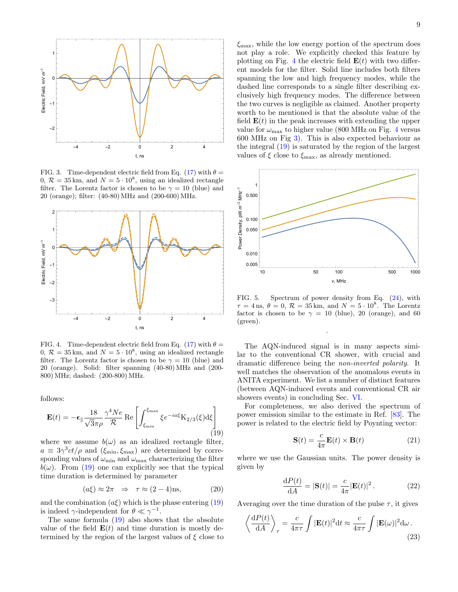

<span id="page-8-0"></span>FIG. 3. Time-dependent electric field from Eq. [\(17\)](#page-7-3) with  $\theta =$  $0, \mathcal{R} = 35 \text{ km}$ , and  $N = 5 \cdot 10^8$ , using an idealized rectangle filter. The Lorentz factor is chosen to be  $\gamma = 10$  (blue) and 20 (orange); filter: (40-80) MHz and (200-600) MHz.



<span id="page-8-2"></span>FIG. 4. Time-dependent electric field from Eq. [\(17\)](#page-7-3) with  $\theta =$  $0, \mathcal{R} = 35 \text{ km}$ , and  $N = 5 \cdot 10^8$ , using an idealized rectangle filter. The Lorentz factor is chosen to be  $\gamma = 10$  (blue) and 20 (orange). Solid: filter spanning (40-80) MHz and (200- 800) MHz; dashed: (200-800) MHz.

follows:

<span id="page-8-1"></span>
$$
\mathbf{E}(t) = -\epsilon_{\parallel} \frac{18}{\sqrt{3}\pi\rho} \frac{\gamma^4 Ne}{\mathcal{R}} \operatorname{Re}\left[\int_{\xi_{\rm min}}^{\xi_{\rm max}} \xi e^{-ia\xi} \mathbf{K}_{2/3}(\xi) d\xi\right]
$$
(19)

where we assume  $b(\omega)$  as an idealized rectangle filter,  $a \equiv 3\gamma^3 ct/\rho$  and  $(\xi_{\rm min}, \xi_{\rm max})$  are determined by corresponding values of  $\omega_{\min}$  and  $\omega_{\max}$  characterizing the filter  $b(\omega)$ . From [\(19\)](#page-8-1) one can explicitly see that the typical time duration is determined by parameter

$$
(a\xi) \approx 2\pi \quad \Rightarrow \quad \tau \approx (2-4)\text{ns},\tag{20}
$$

and the combination  $(a\xi)$  which is the phase entering [\(19\)](#page-8-1) is indeed  $\gamma$ -independent for  $\theta \ll \gamma^{-1}$ .

The same formula [\(19\)](#page-8-1) also shows that the absolute value of the field  $E(t)$  and time duration is mostly determined by the region of the largest values of  $\xi$  close to  $\xi_{\text{max}}$ , while the low energy portion of the spectrum does not play a role. We explicitly checked this feature by plotting on Fig. [4](#page-8-2) the electric field  $E(t)$  with two different models for the filter. Solid line includes both filters spanning the low and high frequency modes, while the dashed line corresponds to a single filter describing exclusively high frequency modes. The difference between the two curves is negligible as claimed. Another property worth to be mentioned is that the absolute value of the field  $\mathbf{E}(t)$  in the peak increases with extending the upper value for  $\omega_{\text{max}}$  to higher value (800 MHz on Fig. [4](#page-8-2) versus 600 MHz on Fig [3\)](#page-8-0). This is also expected behaviour as the integral [\(19\)](#page-8-1) is saturated by the region of the largest values of  $\xi$  close to  $\xi_{\text{max}}$ , as already mentioned.



<span id="page-8-3"></span>FIG. 5. Spectrum of power density from Eq. [\(24\)](#page-9-1), with  $\tau = 4 \,\mathrm{ns}, \,\theta = 0, \,\mathcal{R} = 35 \,\mathrm{km}, \text{ and } N = 5 \cdot 10^8. \text{ The Lorentz}$ factor is chosen to be  $\gamma = 10$  (blue), 20 (orange), and 60 (green).

.

The AQN-induced signal is in many aspects similar to the conventional CR shower, with crucial and dramatic difference being the non-inverted polarity. It well matches the observation of the anomalous events in ANITA experiment. We list a number of distinct features (between AQN-induced events and conventional CR air showers events) in concluding Sec. [VI.](#page-9-0)

For completeness, we also derived the spectrum of power emission similar to the estimate in Ref. [\[83\]](#page-14-19). The power is related to the electric field by Poynting vector:

$$
\mathbf{S}(t) = \frac{c}{4\pi} \mathbf{E}(t) \times \mathbf{B}(t)
$$
 (21)

<span id="page-8-4"></span>where we use the Gaussian units. The power density is given by

$$
\frac{\mathrm{d}P(t)}{\mathrm{d}A} = |\mathbf{S}(t)| = \frac{c}{4\pi} |\mathbf{E}(t)|^2. \tag{22}
$$

Averaging over the time duration of the pulse  $\tau$ , it gives

$$
\left\langle \frac{\mathrm{d}P(t)}{\mathrm{d}A} \right\rangle_{\tau} = \frac{c}{4\pi\tau} \int |\mathbf{E}(t)|^2 \mathrm{d}t \approx \frac{c}{4\pi\tau} \int |\mathbf{E}(\omega)|^2 \mathrm{d}\omega \,. \tag{23}
$$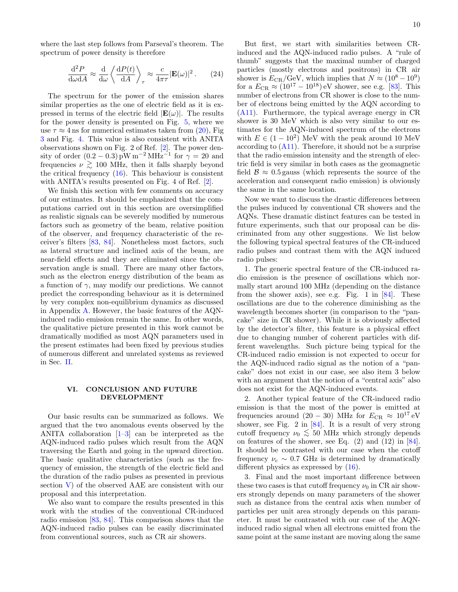where the last step follows from Parseval's theorem. The spectrum of power density is therefore

$$
\frac{\mathrm{d}^2 P}{\mathrm{d}\omega \mathrm{d}A} \approx \frac{\mathrm{d}}{\mathrm{d}\omega} \left\langle \frac{\mathrm{d}P(t)}{\mathrm{d}A} \right\rangle_\tau \approx \frac{c}{4\pi\tau} |\mathbf{E}(\omega)|^2. \tag{24}
$$

The spectrum for the power of the emission shares similar properties as the one of electric field as it is expressed in terms of the electric field  $|\mathbf{E}(\omega)|$ . The results for the power density is presented on Fig. [5,](#page-8-3) where we use  $\tau \approx 4$  ns for numerical estimates taken from [\(20\)](#page-8-4), Fig [3](#page-8-0) and Fig. [4.](#page-8-2) This value is also consistent with ANITA observations shown on Fig. 2 of Ref. [\[2\]](#page-12-2). The power density of order  $(0.2 - 0.3)$  pW m<sup>-2</sup> MHz<sup>-1</sup> for  $\gamma = 20$  and frequencies  $\nu \gtrsim 100$  MHz, then it falls sharply beyond the critical frequency [\(16\)](#page-7-5). This behaviour is consistent with ANITA's results presented on Fig. 4 of Ref. [\[2\]](#page-12-2).

We finish this section with few comments on accuracy of our estimates. It should be emphasized that the computations carried out in this section are oversimplified as realistic signals can be severely modified by numerous factors such as geometry of the beam, relative position of the observer, and frequency characteristic of the receiver's filters [\[83,](#page-14-19) [84\]](#page-14-20). Nonetheless most factors, such as lateral structure and inclined axis of the beam, are near-field effects and they are eliminated since the observation angle is small. There are many other factors, such as the electron energy distribution of the beam as a function of  $\gamma$ , may modify our predictions. We cannot predict the corresponding behaviour as it is determined by very complex non-equilibrium dynamics as discussed in Appendix [A.](#page-10-0) However, the basic features of the AQNinduced radio emission remain the same. In other words, the qualitative picture presented in this work cannot be dramatically modified as most AQN parameters used in the present estimates had been fixed by previous studies of numerous different and unrelated systems as reviewed in Sec. [II.](#page-1-0)

# <span id="page-9-0"></span>VI. CONCLUSION AND FUTURE DEVELOPMENT

Our basic results can be summarized as follows. We argued that the two anomalous events observed by the ANITA collaboration [\[1](#page-12-0)[–3\]](#page-12-1) can be interpreted as the AQN-induced radio pulses which result from the AQN traversing the Earth and going in the upward direction. The basic qualitative characteristics (such as the frequency of emission, the strength of the electric field and the duration of the radio pulses as presented in previous section [V\)](#page-6-0) of the observed AAE are consistent with our proposal and this interpretation.

We also want to compare the results presented in this work with the studies of the conventional CR-induced radio emission [\[83,](#page-14-19) [84\]](#page-14-20). This comparison shows that the AQN-induced radio pulses can be easily discriminated from conventional sources, such as CR air showers.

<span id="page-9-1"></span>But first, we start with similarities between CRinduced and the AQN-induced radio pulses. A "rule of thumb" suggests that the maximal number of charged particles (mostly electrons and positrons) in CR air shower is  $E_{CR}/\text{GeV}$ , which implies that  $N \approx (10^8 - 10^9)$ for a  $E_{CR} \approx (10^{17} - 10^{18})$  eV shower, see e.g. [\[83\]](#page-14-19). This number of electrons from CR shower is close to the number of electrons being emitted by the AQN according to [\(A11\)](#page-12-6). Furthermore, the typical average energy in CR shower is 30 MeV which is also very similar to our estimates for the AQN-induced spectrum of the electrons with  $E \in (1-10^2)$  MeV with the peak around 10 MeV according to  $(A11)$ . Therefore, it should not be a surprise that the radio emission intensity and the strength of electric field is very similar in both cases as the geomagnetic field  $\mathcal{B} \approx 0.5$  gauss (which represents the source of the acceleration and consequent radio emission) is obviously the same in the same location.

Now we want to discuss the drastic differences between the pulses induced by conventional CR showers and the AQNs. These dramatic distinct features can be tested in future experiments, such that our proposal can be discriminated from any other suggestions. We list below the following typical spectral features of the CR-induced radio pulses and contrast them with the AQN induced radio pulses:

1. The generic spectral feature of the CR-induced radio emission is the presence of oscillations which normally start around 100 MHz (depending on the distance from the shower axis), see e.g. Fig. 1 in  $[84]$ . These oscillations are due to the coherence diminishing as the wavelength becomes shorter (in comparison to the "pancake" size in CR shower). While it is obviously affected by the detector's filter, this feature is a physical effect due to changing number of coherent particles with different wavelengths. Such picture being typical for the CR-induced radio emission is not expected to occur for the AQN-induced radio signal as the notion of a "pancake" does not exist in our case, see also item 3 below with an argument that the notion of a "central axis" also does not exist for the AQN-induced events.

2. Another typical feature of the CR-induced radio emission is that the most of the power is emitted at frequencies around  $(20 - 30)$  MHz for  $E_{CR} \approx 10^{17}$  eV shower, see Fig. 2 in [\[84\]](#page-14-20). It is a result of very strong cutoff frequency  $\nu_0 \lesssim 50$  MHz which strongly depends on features of the shower, see Eq.  $(2)$  and  $(12)$  in [\[84\]](#page-14-20). It should be contrasted with our case when the cutoff frequency  $\nu_c \sim 0.7$  GHz is determined by dramatically different physics as expressed by [\(16\)](#page-7-5).

3. Final and the most important difference between these two cases is that cutoff frequency  $\nu_0$  in CR air showers strongly depends on many parameters of the shower such as distance from the central axis when number of particles per unit area strongly depends on this parameter. It must be contrasted with our case of the AQNinduced radio signal when all electrons emitted from the same point at the same instant are moving along the same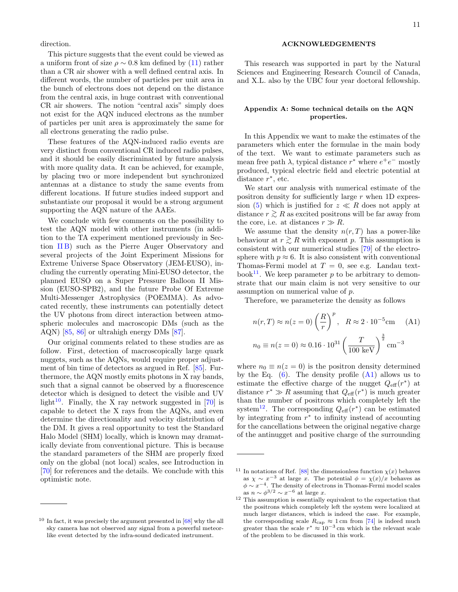direction.

This picture suggests that the event could be viewed as a uniform front of size  $\rho \sim 0.8$  km defined by [\(11\)](#page-6-4) rather than a CR air shower with a well defined central axis. In different words, the number of particles per unit area in the bunch of electrons does not depend on the distance from the central axis, in huge contrast with conventional CR air showers. The notion "central axis" simply does not exist for the AQN induced electrons as the number of particles per unit area is approximately the same for all electrons generating the radio pulse.

These features of the AQN-induced radio events are very distinct from conventional CR induced radio pulses, and it should be easily discriminated by future analysis with more quality data. It can be achieved, for example, by placing two or more independent but synchronized antennas at a distance to study the same events from different locations. If future studies indeed support and substantiate our proposal it would be a strong argument supporting the AQN nature of the AAEs.

We conclude with few comments on the possibility to test the AQN model with other instruments (in addition to the TA experiment mentioned previously in Section [II B\)](#page-2-0) such as the Pierre Auger Observatory and several projects of the Joint Experiment Missions for Extreme Universe Space Observatory (JEM-EUSO), including the currently operating Mini-EUSO detector, the planned EUSO on a Super Pressure Balloon II Mission (EUSO-SPB2), and the future Probe Of Extreme Multi-Messenger Astrophysics (POEMMA). As advocated recently, these instruments can potentially detect the UV photons from direct interaction between atmospheric molecules and macroscopic DMs (such as the AQN) [\[85,](#page-14-21) [86\]](#page-14-22) or ultrahigh energy DMs [\[87\]](#page-14-23).

Our original comments related to these studies are as follow. First, detection of macroscopically large quark nuggets, such as the AQNs, would require proper adjustment of bin time of detectors as argued in Ref. [\[85\]](#page-14-21). Furthermore, the AQN mostly emits photons in X ray bands, such that a signal cannot be observed by a fluorescence detector which is designed to detect the visible and UV light<sup>[10](#page-10-2)</sup>. Finally, the X ray network suggested in [\[70\]](#page-14-6) is capable to detect the X rays from the AQNs, and even determine the directionality and velocity distribution of the DM. It gives a real opportunity to test the Standard Halo Model (SHM) locally, which is known may dramatically deviate from conventional picture. This is because the standard parameters of the SHM are properly fixed only on the global (not local) scales, see Introduction in [\[70\]](#page-14-6) for references and the details. We conclude with this optimistic note.

#### ACKNOWLEDGEMENTS

This research was supported in part by the Natural Sciences and Engineering Research Council of Canada, and X.L. also by the UBC four year doctoral fellowship.

### <span id="page-10-0"></span>Appendix A: Some technical details on the AQN properties.

In this Appendix we want to make the estimates of the parameters which enter the formulae in the main body of the text. We want to estimate parameters such as mean free path  $\lambda$ , typical distance  $r^*$  where  $e^+e^-$  mostly produced, typical electric field and electric potential at distance  $r^*$ , etc.

We start our analysis with numerical estimate of the positron density for sufficiently large r when 1D expres-sion [\(5\)](#page-4-2) which is justified for  $z \ll R$  does not apply at distance  $r \geq R$  as excited positrons will be far away from the core, i.e. at distances  $r \gg R$ .

We assume that the density  $n(r, T)$  has a power-like behaviour at  $r \gtrsim R$  with exponent p. This assumption is consistent with our numerical studies [\[79\]](#page-14-15) of the electrosphere with  $p \approx 6$ . It is also consistent with conventional Thomas-Fermi model at  $T = 0$ , see e.g. Landau text-book<sup>[11](#page-10-3)</sup>. We keep parameter p to be arbitrary to demonstrate that our main claim is not very sensitive to our assumption on numerical value of p.

Therefore, we parameterize the density as follows

<span id="page-10-1"></span>
$$
n(r,T) \approx n(z=0) \left(\frac{R}{r}\right)^p
$$
,  $R \approx 2 \cdot 10^{-5} \text{cm}$  (A1)  
 $n_0 \equiv n(z=0) \approx 0.16 \cdot 10^{31} \left(\frac{T}{100 \text{ keV}}\right)^{\frac{3}{2}} \text{cm}^{-3}$ 

where  $n_0 \equiv n(z = 0)$  is the positron density determined by the Eq.  $(6)$ . The density profile  $(A1)$  allows us to estimate the effective charge of the nugget  $Q_{\text{eff}}(r^*)$  at distance  $r^* \gg R$  assuming that  $Q_{\text{eff}}(r^*)$  is much greater than the number of positrons which completely left the system<sup>[12](#page-10-4)</sup>. The corresponding  $Q_{\text{eff}}(r^*)$  can be estimated by integrating from  $r^*$  to infinity instead of accounting for the cancellations between the original negative charge of the antinugget and positive charge of the surrounding

<span id="page-10-2"></span> $10$  In fact, it was precisely the argument presented in  $[68]$  why the all sky camera has not observed any signal from a powerful meteorlike event detected by the infra-sound dedicated instrument.

<span id="page-10-3"></span><sup>&</sup>lt;sup>11</sup> In notations of Ref. [\[88\]](#page-14-24) the dimensionless function  $\chi(x)$  behaves as  $\chi \sim x^{-3}$  at large x. The potential  $\phi = \chi(x)/x$  behaves as  $\phi \sim x^{-4}$ . The density of electrons in Thomas-Fermi model scales as  $n \sim \phi^{3/2} \sim x^{-6}$  at large x.

<span id="page-10-4"></span><sup>&</sup>lt;sup>12</sup> This assumption is essentially equivalent to the expectation that the positrons which completely left the system were localized at much larger distances, which is indeed the case. For example, the corresponding scale  $R_{\text{cap}} \approx 1$  cm from [\[74\]](#page-14-10) is indeed much greater than the scale  $r^* \approx 10^{-3}$  cm which is the relevant scale of the problem to be discussed in this work.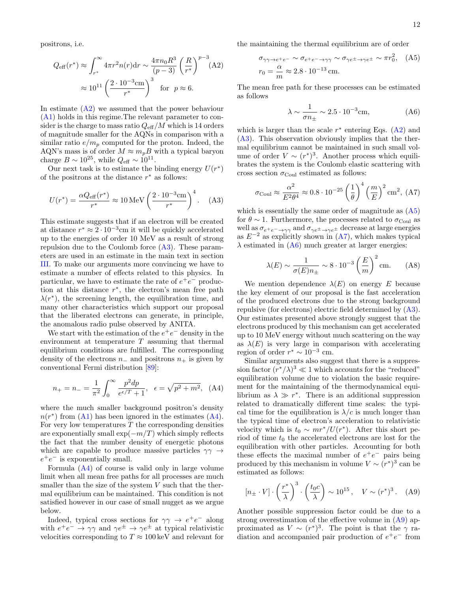positrons, i.e.

<span id="page-11-0"></span>
$$
Q_{\text{eff}}(r^*) \approx \int_{r^*}^{\infty} 4\pi r^2 n(r) dr \sim \frac{4\pi n_0 R^3}{(p-3)} \left(\frac{R}{r^*}\right)^{p-3} (A2)
$$

$$
\approx 10^{11} \left(\frac{2 \cdot 10^{-3} \text{cm}}{r^*}\right)^3 \text{ for } p \approx 6.
$$

In estimate  $(A2)$  we assumed that the power behaviour [\(A1\)](#page-10-1) holds in this regime.The relevant parameter to consider is the charge to mass ratio  $Q_{\text{eff}}/M$  which is 14 orders of magnitude smaller for the AQNs in comparison with a similar ratio  $e/m_p$  computed for the proton. Indeed, the AQN's mass is of order  $M \approx m_p B$  with a typical baryon charge  $B \sim 10^{25}$ , while  $Q_{\text{eff}} \sim 10^{11}$ .

Our next task is to estimate the binding energy  $U(r^*)$ of the positrons at the distance  $r^*$  as follows:

$$
U(r^*) = \frac{\alpha Q_{\text{eff}}(r^*)}{r^*} \approx 10 \,\text{MeV} \left(\frac{2 \cdot 10^{-3} \text{cm}}{r^*}\right)^4. \tag{A3}
$$

This estimate suggests that if an electron will be created at distance  $r^* \approx 2 \cdot 10^{-3}$ cm it will be quickly accelerated up to the energies of order 10 MeV as a result of strong repulsion due to the Coulomb force  $(A3)$ . These parameters are used in an estimate in the main text in section [III.](#page-4-0) To make our arguments more convincing we have to estimate a number of effects related to this physics. In particular, we have to estimate the rate of  $e^+e^-$  production at this distance  $r^*$ , the electron's mean free path  $\lambda(r^*)$ , the screening length, the equilibration time, and many other characteristics which support our proposal that the liberated electrons can generate, in principle, the anomalous radio pulse observed by ANITA.

We start with the estimation of the  $e^+e^-$  density in the environment at temperature  $T$  assuming that thermal equilibrium conditions are fulfilled. The corresponding density of the electrons  $n_-\,$  and positrons  $n_+\,$  is given by conventional Fermi distribution [\[89\]](#page-14-25):

<span id="page-11-2"></span>
$$
n_{+} = n_{-} = \frac{1}{\pi^{2}} \int_{0}^{\infty} \frac{p^{2} dp}{e^{\epsilon/T} + 1}, \quad \epsilon = \sqrt{p^{2} + m^{2}}, \quad (A4)
$$

where the much smaller background positron's density  $n(r^*)$  from [\(A1\)](#page-10-1) has been ignored in the estimates [\(A4\)](#page-11-2). For very low temperatures  $T$  the corresponding densities are exponentially small  $\exp(-m/T)$  which simply reflects the fact that the number density of energetic photons which are capable to produce massive particles  $\gamma\gamma \rightarrow$  $e^+e^-$  is exponentially small.

Formula [\(A4\)](#page-11-2) of course is valid only in large volume limit when all mean free paths for all processes are much smaller than the size of the system  $V$  such that the thermal equilibrium can be maintained. This condition is not satisfied however in our case of small nugget as we argue below.

Indeed, typical cross sections for  $\gamma\gamma \rightarrow e^+e^-$  along with  $e^+e^- \rightarrow \gamma\gamma$  and  $\gamma e^{\pm} \rightarrow \gamma e^{\pm}$  at typical relativistic velocities corresponding to  $T \approx 100 \,\text{keV}$  and relevant for the maintaining the thermal equilibrium are of order

<span id="page-11-3"></span>
$$
\sigma_{\gamma\gamma \to e^+e^-} \sim \sigma_{e^+e^- \to \gamma\gamma} \sim \sigma_{\gamma e^{\pm} \to \gamma e^{\pm}} \sim \pi r_0^2, \quad \text{(A5)}
$$
  

$$
r_0 = \frac{\alpha}{m} \approx 2.8 \cdot 10^{-13} \text{ cm}.
$$

The mean free path for these processes can be estimated as follows

<span id="page-11-5"></span>
$$
\lambda \sim \frac{1}{\sigma n_{\pm}} \sim 2.5 \cdot 10^{-3} \text{cm},\tag{A6}
$$

which is larger than the scale  $r^*$  entering Eqs. [\(A2\)](#page-11-0) and [\(A3\)](#page-11-1). This observation obviously implies that the thermal equilibrium cannot be maintained in such small volume of order  $V \sim (r^*)^3$ . Another process which equilibrates the system is the Coulomb elastic scattering with cross section  $\sigma_{\text{Coul}}$  estimated as follows:

<span id="page-11-4"></span>
$$
\sigma_{\text{Coul}} \approx \frac{\alpha^2}{E^2 \theta^4} \approx 0.8 \cdot 10^{-25} \left(\frac{1}{\theta}\right)^4 \left(\frac{m}{E}\right)^2 \text{cm}^2, \text{ (A7)}
$$

<span id="page-11-1"></span>which is essentially the same order of magnitude as  $(A5)$ for  $\theta \sim 1$ . Furthermore, the processes related to  $\sigma_{\text{Coul}}$  as well as  $\sigma_{e^+e^-\to\gamma\gamma}$  and  $\sigma_{\gamma e^{\pm}\to\gamma e^{\pm}}$  decrease at large energies as  $E^{-2}$  as explicitly shown in  $(A7)$ , which makes typical  $\lambda$  estimated in [\(A6\)](#page-11-5) much greater at larger energies:

$$
\lambda(E) \sim \frac{1}{\sigma(E)n_{\pm}} \sim 8 \cdot 10^{-3} \left(\frac{E}{m}\right)^2
$$
cm. (A8)

We mention dependence  $\lambda(E)$  on energy E because the key element of our proposal is the fast acceleration of the produced electrons due to the strong background repulsive (for electrons) electric field determined by [\(A3\)](#page-11-1). Our estimates presented above strongly suggest that the electrons produced by this mechanism can get accelerated up to 10 MeV energy without much scattering on the way as  $\lambda(E)$  is very large in comparison with accelerating region of order  $r^* \sim 10^{-3}$  cm.

Similar arguments also suggest that there is a suppression factor  $(r^*/\lambda)^3 \ll 1$  which accounts for the "reduced" equilibration volume due to violation the basic requirement for the maintaining of the thermodynamical equilibrium as  $\lambda \gg r^*$ . There is an additional suppression related to dramatically different time scales: the typical time for the equilibration is  $\lambda/c$  is much longer than the typical time of electron's acceleration to relativistic velocity which is  $t_0 \sim mr^*/U(r^*)$ . After this short period of time  $t_0$  the accelerated electrons are lost for the equilibration with other particles. Accounting for both these effects the maximal number of  $e^+e^-$  pairs being produced by this mechanism in volume  $V \sim (r^*)^3$  can be estimated as follows:

<span id="page-11-6"></span>
$$
[n_{\pm} \cdot V] \cdot \left(\frac{r^*}{\lambda}\right)^3 \cdot \left(\frac{t_0 c}{\lambda}\right) \sim 10^{15}, \quad V \sim (r^*)^3. \quad \text{(A9)}
$$

Another possible suppression factor could be due to a strong overestimation of the effective volume in [\(A9\)](#page-11-6) approximated as  $V \sim (r^*)^3$ . The point is that the  $\gamma$  radiation and accompanied pair production of  $e^+e^-$  from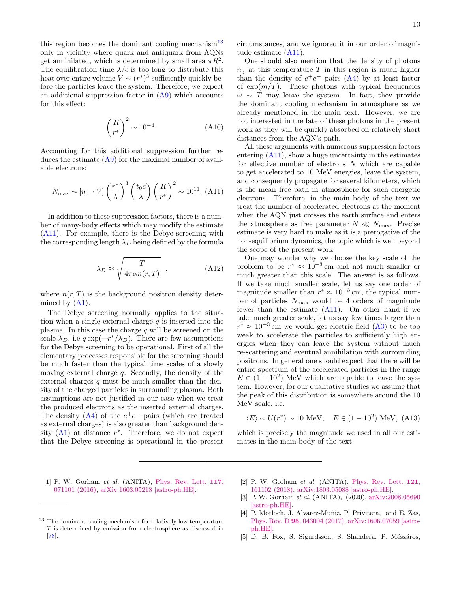this region becomes the dominant cooling mechanism<sup>[13](#page-12-7)</sup> only in vicinity where quark and antiquark from AQNs get annihilated, which is determined by small area  $\pi R^2$ . The equilibration time  $\lambda/c$  is too long to distribute this heat over entire volume  $V \sim (r^*)^3$  sufficiently quickly before the particles leave the system. Therefore, we expect an additional suppression factor in [\(A9\)](#page-11-6) which accounts for this effect:

$$
\left(\frac{R}{r^*}\right)^2 \sim 10^{-4} \,. \tag{A10}
$$

Accounting for this additional suppression further reduces the estimate  $(A9)$  for the maximal number of available electrons:

<span id="page-12-6"></span>
$$
N_{\text{max}} \sim \left[n_{\pm} \cdot V\right] \left(\frac{r^*}{\lambda}\right)^3 \left(\frac{t_0 c}{\lambda}\right) \left(\frac{R}{r^*}\right)^2 \sim 10^{11}. \tag{A11}
$$

In addition to these suppression factors, there is a number of many-body effects which may modify the estimate [\(A11\)](#page-12-6). For example, there is the Debye screening with the corresponding length  $\lambda_D$  being defined by the formula

$$
\lambda_D \approx \sqrt{\frac{T}{4\pi\alpha n(r,T)}} \quad , \tag{A12}
$$

where  $n(r, T)$  is the background positron density determined by  $(A1)$ .

The Debye screening normally applies to the situation when a single external charge  $q$  is inserted into the plasma. In this case the charge  $q$  will be screened on the scale  $\lambda_D$ , i.e  $q \exp(-r^*/\lambda_D)$ . There are few assumptions for the Debye screening to be operational. First of all the elementary processes responsible for the screening should be much faster than the typical time scales of a slowly moving external charge q. Secondly, the density of the external charges  $q$  must be much smaller than the density of the charged particles in surrounding plasma. Both assumptions are not justified in our case when we treat the produced electrons as the inserted external charges. The density  $(A4)$  of the  $e^+e^-$  pairs (which are treated as external charges) is also greater than background density  $(A1)$  at distance  $r^*$ . Therefore, we do not expect that the Debye screening is operational in the present circumstances, and we ignored it in our order of magnitude estimate [\(A11\)](#page-12-6).

One should also mention that the density of photons  $n_{\gamma}$  at this temperature T in this region is much higher than the density of  $e^+e^-$  pairs [\(A4\)](#page-11-2) by at least factor of  $\exp(m/T)$ . These photons with typical frequencies  $\omega \sim T$  may leave the system. In fact, they provide the dominant cooling mechanism in atmosphere as we already mentioned in the main text. However, we are not interested in the fate of these photons in the present work as they will be quickly absorbed on relatively short distances from the AQN's path.

All these arguments with numerous suppression factors entering [\(A11\)](#page-12-6), show a huge uncertainty in the estimates for effective number of electrons  $N$  which are capable to get accelerated to 10 MeV energies, leave the system, and consequently propagate for several kilometers, which is the mean free path in atmosphere for such energetic electrons. Therefore, in the main body of the text we treat the number of accelerated electrons at the moment when the AQN just crosses the earth surface and enters the atmosphere as free parameter  $N \ll N_{\text{max}}$ . Precise estimate is very hard to make as it is a prerogative of the non-equilibrium dynamics, the topic which is well beyond the scope of the present work.

One may wonder why we choose the key scale of the problem to be  $r^* \approx 10^{-3}$  cm and not much smaller or much greater than this scale. The answer is as follows. If we take much smaller scale, let us say one order of magnitude smaller than  $r^* \approx 10^{-3}$  cm, the typical number of particles  $N_{\text{max}}$  would be 4 orders of magnitude fewer than the estimate [\(A11\)](#page-12-6). On other hand if we take much greater scale, let us say few times larger than  $r^* \approx 10^{-3}$  cm we would get electric field [\(A3\)](#page-11-1) to be too weak to accelerate the particles to sufficiently high energies when they can leave the system without much re-scattering and eventual annihilation with surrounding positrons. In general one should expect that there will be entire spectrum of the accelerated particles in the range  $E \in (1-10^2)$  MeV which are capable to leave the system. However, for our qualitative studies we assume that the peak of this distribution is somewhere around the 10 MeV scale, i.e.

<span id="page-12-5"></span>
$$
\langle E \rangle \sim U(r^*) \sim 10 \text{ MeV}, \quad E \in (1 - 10^2) \text{ MeV}, \text{ (A13)}
$$

which is precisely the magnitude we used in all our estimates in the main body of the text.

<span id="page-12-0"></span>[1] P. W. Gorham et al. (ANITA), [Phys. Rev. Lett.](http://dx.doi.org/10.1103/PhysRevLett.117.071101) 117, [071101 \(2016\),](http://dx.doi.org/10.1103/PhysRevLett.117.071101) [arXiv:1603.05218 \[astro-ph.HE\].](http://arxiv.org/abs/1603.05218)

- <span id="page-12-2"></span>[2] P. W. Gorham et al. (ANITA), [Phys. Rev. Lett.](http://dx.doi.org/10.1103/PhysRevLett.121.161102) 121, [161102 \(2018\),](http://dx.doi.org/10.1103/PhysRevLett.121.161102) [arXiv:1803.05088 \[astro-ph.HE\].](http://arxiv.org/abs/1803.05088)
- <span id="page-12-1"></span>[3] P. W. Gorham et al. (ANITA), (2020), [arXiv:2008.05690](http://arxiv.org/abs/2008.05690) [\[astro-ph.HE\].](http://arxiv.org/abs/2008.05690)
- <span id="page-12-3"></span>[4] P. Motloch, J. Alvarez-Muñiz, P. Privitera, and E. Zas, Phys. Rev. D 95[, 043004 \(2017\),](http://dx.doi.org/10.1103/PhysRevD.95.043004) [arXiv:1606.07059 \[astro](http://arxiv.org/abs/1606.07059)[ph.HE\].](http://arxiv.org/abs/1606.07059)
- <span id="page-12-4"></span>[5] D. B. Fox, S. Sigurdsson, S. Shandera, P. Mészáros,

<span id="page-12-7"></span><sup>&</sup>lt;sup>13</sup> The dominant cooling mechanism for relatively low temperature T is determined by emission from electrosphere as discussed in [\[78\]](#page-14-14).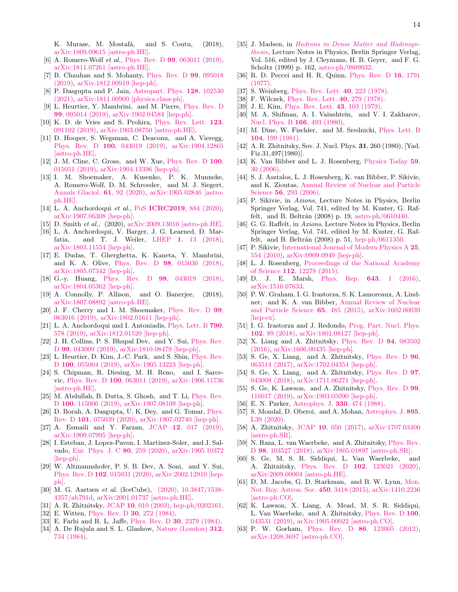K. Murase, M. Mostafá, and S. Coutu, (2018), [arXiv:1809.09615 \[astro-ph.HE\].](http://arxiv.org/abs/1809.09615)

- <span id="page-13-1"></span>[6] A. Romero-Wolf *et al.*, Phys. Rev. D **99**[, 063011 \(2019\),](http://dx.doi.org/10.1103/PhysRevD.99.063011) [arXiv:1811.07261 \[astro-ph.HE\].](http://arxiv.org/abs/1811.07261)
- <span id="page-13-6"></span>[7] B. Chauhan and S. Mohanty, [Phys. Rev. D](http://dx.doi.org/10.1103/PhysRevD.99.095018) 99, 095018 [\(2019\),](http://dx.doi.org/10.1103/PhysRevD.99.095018) [arXiv:1812.00919 \[hep-ph\].](http://arxiv.org/abs/1812.00919)
- <span id="page-13-3"></span>[8] P. Dasgupta and P. Jain, [Astropart. Phys.](http://dx.doi.org/10.1016/j.astropartphys.2020.102530) 128, 102530 [\(2021\),](http://dx.doi.org/10.1016/j.astropartphys.2020.102530) [arXiv:1811.00900 \[physics.class-ph\].](http://arxiv.org/abs/1811.00900)
- <span id="page-13-7"></span>[9] L. Heurtier, Y. Mambrini, and M. Pierre, [Phys. Rev. D](http://dx.doi.org/10.1103/PhysRevD.99.095014) 99[, 095014 \(2019\),](http://dx.doi.org/10.1103/PhysRevD.99.095014) [arXiv:1902.04584 \[hep-ph\].](http://arxiv.org/abs/1902.04584)
- <span id="page-13-2"></span>[10] K. D. de Vries and S. Prohira, [Phys. Rev. Lett.](http://dx.doi.org/10.1103/PhysRevLett.123.091102) 123, [091102 \(2019\),](http://dx.doi.org/10.1103/PhysRevLett.123.091102) [arXiv:1903.08750 \[astro-ph.HE\].](http://arxiv.org/abs/1903.08750)
- <span id="page-13-8"></span>[11] D. Hooper, S. Wegsman, C. Deaconu, and A. Vieregg, Phys. Rev. D 100[, 043019 \(2019\),](http://dx.doi.org/10.1103/PhysRevD.100.043019) [arXiv:1904.12865](http://arxiv.org/abs/1904.12865) [\[astro-ph.HE\].](http://arxiv.org/abs/1904.12865)
- <span id="page-13-12"></span>[12] J. M. Cline, C. Gross, and W. Xue, [Phys. Rev. D](http://dx.doi.org/ 10.1103/PhysRevD.100.015031) 100, [015031 \(2019\),](http://dx.doi.org/ 10.1103/PhysRevD.100.015031) [arXiv:1904.13396 \[hep-ph\].](http://arxiv.org/abs/1904.13396)
- <span id="page-13-4"></span>[13] I. M. Shoemaker, A. Kusenko, P. K. Munneke, A. Romero-Wolf, D. M. Schroeder, and M. J. Siegert, [Annals Glaciol.](http://dx.doi.org/ 10.1017/aog.2020.19) 61, 92 (2020), [arXiv:1905.02846 \[astro](http://arxiv.org/abs/1905.02846)[ph.HE\].](http://arxiv.org/abs/1905.02846)
- <span id="page-13-9"></span>[14] L. A. Anchordoqui et al., PoS ICRC2019[, 884 \(2020\),](http://dx.doi.org/10.22323/1.358.0884) [arXiv:1907.06308 \[hep-ph\].](http://arxiv.org/abs/1907.06308)
- <span id="page-13-5"></span>[15] D. Smith et al., (2020), [arXiv:2009.13010 \[astro-ph.HE\].](http://arxiv.org/abs/2009.13010)
- <span id="page-13-10"></span>[16] L. A. Anchordoqui, V. Barger, J. G. Learned, D. Marfatia, and T. J. Weiler, LHEP 1[, 13 \(2018\),](http://dx.doi.org/ 10.31526/LHEP.1.2018.03) [arXiv:1803.11554 \[hep-ph\].](http://arxiv.org/abs/1803.11554)
- [17] E. Dudas, T. Gherghetta, K. Kaneta, Y. Mambrini, and K. A. Olive, Phys. Rev. D 98[, 015030 \(2018\),](http://dx.doi.org/ 10.1103/PhysRevD.98.015030) [arXiv:1805.07342 \[hep-ph\].](http://arxiv.org/abs/1805.07342)
- <span id="page-13-31"></span>[18] G.-y. Huang, Phys. Rev. D 98[, 043019 \(2018\),](http://dx.doi.org/10.1103/PhysRevD.98.043019) [arXiv:1804.05362 \[hep-ph\].](http://arxiv.org/abs/1804.05362)
- [19] A. Connolly, P. Allison, and O. Banerjee, (2018), [arXiv:1807.08892 \[astro-ph.HE\].](http://arxiv.org/abs/1807.08892)
- [20] J. F. Cherry and I. M. Shoemaker, [Phys. Rev. D](http://dx.doi.org/10.1103/PhysRevD.99.063016) 99, [063016 \(2019\),](http://dx.doi.org/10.1103/PhysRevD.99.063016) [arXiv:1802.01611 \[hep-ph\].](http://arxiv.org/abs/1802.01611)
- [21] L. A. Anchordoqui and I. Antoniadis, [Phys. Lett. B](http://dx.doi.org/10.1016/j.physletb.2019.02.003) 790, [578 \(2019\),](http://dx.doi.org/10.1016/j.physletb.2019.02.003) [arXiv:1812.01520 \[hep-ph\].](http://arxiv.org/abs/1812.01520)
- [22] J. H. Collins, P. S. Bhupal Dev, and Y. Sui, [Phys. Rev.](http://dx.doi.org/10.1103/PhysRevD.99.043009) D 99[, 043009 \(2019\),](http://dx.doi.org/10.1103/PhysRevD.99.043009) [arXiv:1810.08479 \[hep-ph\].](http://arxiv.org/abs/1810.08479)
- [23] L. Heurtier, D. Kim, J.-C. Park, and S. Shin, [Phys. Rev.](http://dx.doi.org/ 10.1103/PhysRevD.100.055004) D 100[, 055004 \(2019\),](http://dx.doi.org/ 10.1103/PhysRevD.100.055004) [arXiv:1905.13223 \[hep-ph\].](http://arxiv.org/abs/1905.13223)
- [24] S. Chipman, R. Diesing, M. H. Reno, and I. Sarcevic, Phys. Rev. D 100[, 063011 \(2019\),](http://dx.doi.org/10.1103/PhysRevD.100.063011) [arXiv:1906.11736](http://arxiv.org/abs/1906.11736) [\[astro-ph.HE\].](http://arxiv.org/abs/1906.11736)
- [25] M. Abdullah, B. Dutta, S. Ghosh, and T. Li, [Phys. Rev.](http://dx.doi.org/ 10.1103/PhysRevD.100.115006) D 100[, 115006 \(2019\),](http://dx.doi.org/ 10.1103/PhysRevD.100.115006) [arXiv:1907.08109 \[hep-ph\].](http://arxiv.org/abs/1907.08109)
- [26] D. Borah, A. Dasgupta, U. K. Dey, and G. Tomar, [Phys.](http://dx.doi.org/10.1103/PhysRevD.101.075039) Rev. D 101[, 075039 \(2020\),](http://dx.doi.org/10.1103/PhysRevD.101.075039) [arXiv:1907.02740 \[hep-ph\].](http://arxiv.org/abs/1907.02740)
- [27] A. Esmaili and Y. Farzan, JCAP 12[, 017 \(2019\),](http://dx.doi.org/10.1088/1475-7516/2019/12/017) [arXiv:1909.07995 \[hep-ph\].](http://arxiv.org/abs/1909.07995)
- [28] I. Esteban, J. Lopez-Pavon, I. Martinez-Soler, and J. Salvado, [Eur. Phys. J. C](http://dx.doi.org/10.1140/epjc/s10052-020-7816-y) 80, 259 (2020), [arXiv:1905.10372](http://arxiv.org/abs/1905.10372) [\[hep-ph\].](http://arxiv.org/abs/1905.10372)
- <span id="page-13-11"></span>[29] W. Altmannshofer, P. S. B. Dev, A. Soni, and Y. Sui, Phys. Rev. D 102[, 015031 \(2020\),](http://dx.doi.org/ 10.1103/PhysRevD.102.015031) [arXiv:2002.12910 \[hep](http://arxiv.org/abs/2002.12910)[ph\].](http://arxiv.org/abs/2002.12910)
- <span id="page-13-0"></span>[30] M. G. Aartsen et al. (IceCube), [\(2020\), 10.3847/1538-](http://dx.doi.org/10.3847/1538-4357/ab791d) [4357/ab791d,](http://dx.doi.org/10.3847/1538-4357/ab791d) [arXiv:2001.01737 \[astro-ph.HE\].](http://arxiv.org/abs/2001.01737)
- <span id="page-13-13"></span>[31] A. R. Zhitnitsky, JCAP 10[, 010 \(2003\),](http://dx.doi.org/10.1088/1475-7516/2003/10/010) [hep-ph/0202161.](http://arxiv.org/abs/hep-ph/0202161)
- <span id="page-13-14"></span>[32] E. Witten, [Phys. Rev. D](http://dx.doi.org/10.1103/PhysRevD.30.272) **30**, 272 (1984).
- [33] E. Farhi and R. L. Jaffe, Phys. Rev. D 30[, 2379 \(1984\).](http://dx.doi.org/10.1103/PhysRevD.30.2379)
- <span id="page-13-15"></span>[34] A. De Rujula and S. L. Glashow, [Nature \(London\)](http://dx.doi.org/10.1038/312734a0) 312, [734 \(1984\).](http://dx.doi.org/10.1038/312734a0)
- <span id="page-13-16"></span>[35] J. Madsen, in [Hadrons in Dense Matter and Hadrosyn](http://dx.doi.org/10.1007/BFb0107314)[thesis](http://dx.doi.org/10.1007/BFb0107314), Lecture Notes in Physics, Berlin Springer Verlag, Vol. 516, edited by J. Cleymans, H. B. Geyer, and F. G. Scholtz (1999) p. 162, [astro-ph/9809032.](http://arxiv.org/abs/astro-ph/9809032)
- <span id="page-13-17"></span>[36] R. D. Peccei and H. R. Quinn, [Phys. Rev. D](http://dx.doi.org/10.1103/PhysRevD.16.1791) 16, 1791 [\(1977\).](http://dx.doi.org/10.1103/PhysRevD.16.1791)
- [37] S. Weinberg, [Phys. Rev. Lett.](http://dx.doi.org/10.1103/PhysRevLett.40.223) 40, 223 (1978).
- [38] F. Wilczek, [Phys. Rev. Lett.](http://dx.doi.org/10.1103/PhysRevLett.40.279) 40, 279 (1978).
- [39] J. E. Kim, [Phys. Rev. Lett.](http://dx.doi.org/10.1103/PhysRevLett.43.103) 43, 103 (1979).
- [40] M. A. Shifman, A. I. Vainshtein, and V. I. Zakharov, [Nucl. Phys. B](http://dx.doi.org/10.1016/0550-3213(80)90209-6) 166, 493 (1980).
- [41] M. Dine, W. Fischler, and M. Srednicki, [Phys. Lett. B](http://dx.doi.org/10.1016/0370-2693(81)90590-6) 104[, 199 \(1981\).](http://dx.doi.org/10.1016/0370-2693(81)90590-6)
- <span id="page-13-18"></span>[42] A. R. Zhitnitsky, Sov. J. Nucl. Phys. **31**, 260 (1980), [Yad. Fiz.31,497(1980)].
- <span id="page-13-19"></span>[43] K. Van Bibber and L. J. Rosenberg, [Physics Today](http://dx.doi.org/10.1063/1.2349730) 59, [30 \(2006\).](http://dx.doi.org/10.1063/1.2349730)
- [44] S. J. Asztalos, L. J. Rosenberg, K. van Bibber, P. Sikivie, and K. Zioutas, [Annual Review of Nuclear and Particle](http://dx.doi.org/10.1146/annurev.nucl.56.080805.140513) Science 56[, 293 \(2006\).](http://dx.doi.org/10.1146/annurev.nucl.56.080805.140513)
- [45] P. Sikivie, in Axions, Lecture Notes in Physics, Berlin Springer Verlag, Vol. 741, edited by M. Kuster, G. Raffelt, and B. Beltrán  $(2008)$  p. 19, [astro-ph/0610440.](http://arxiv.org/abs/astro-ph/0610440)
- [46] G. G. Raffelt, in Axions, Lecture Notes in Physics, Berlin Springer Verlag, Vol. 741, edited by M. Kuster, G. Raffelt, and B. Beltrán  $(2008)$  p. 51, [hep-ph/0611350.](http://arxiv.org/abs/hep-ph/0611350)
- [47] P. Sikivie, [International Journal of Modern Physics A](http://dx.doi.org/10.1142/S0217751X10048846) 25, [554 \(2010\),](http://dx.doi.org/10.1142/S0217751X10048846) [arXiv:0909.0949 \[hep-ph\].](http://arxiv.org/abs/0909.0949)
- [48] L. J. Rosenberg, [Proceedings of the National Academy](http://dx.doi.org/10.1073/pnas.1308788112) of Science 112[, 12278 \(2015\).](http://dx.doi.org/10.1073/pnas.1308788112)
- [49] D. J. E. Marsh, Phys. Rep. 643[, 1 \(2016\),](http://dx.doi.org/10.1016/j.physrep.2016.06.005) [arXiv:1510.07633.](http://arxiv.org/abs/1510.07633)
- [50] P. W. Graham, I. G. Irastorza, S. K. Lamoreaux, A. Lindner, and K. A. van Bibber, [Annual Review of Nuclear](http://dx.doi.org/10.1146/annurev-nucl-102014-022120) [and Particle Science](http://dx.doi.org/10.1146/annurev-nucl-102014-022120) 65, 485 (2015), [arXiv:1602.00039](http://arxiv.org/abs/1602.00039) [\[hep-ex\].](http://arxiv.org/abs/1602.00039)
- <span id="page-13-20"></span>[51] I. G. Irastorza and J. Redondo, [Prog. Part. Nucl. Phys.](http://dx.doi.org/10.1016/j.ppnp.2018.05.003) 102[, 89 \(2018\),](http://dx.doi.org/10.1016/j.ppnp.2018.05.003) [arXiv:1801.08127 \[hep-ph\].](http://arxiv.org/abs/1801.08127)
- <span id="page-13-21"></span>[52] X. Liang and A. Zhitnitsky, [Phys. Rev. D](http://dx.doi.org/10.1103/PhysRevD.94.083502) 94, 083502 [\(2016\),](http://dx.doi.org/10.1103/PhysRevD.94.083502) [arXiv:1606.00435 \[hep-ph\].](http://arxiv.org/abs/1606.00435)
- [53] S. Ge, X. Liang, and A. Zhitnitsky, [Phys. Rev. D](http://dx.doi.org/10.1103/PhysRevD.96.063514)  $96$ , [063514 \(2017\),](http://dx.doi.org/10.1103/PhysRevD.96.063514) [arXiv:1702.04354 \[hep-ph\].](http://arxiv.org/abs/1702.04354)
- [54] S. Ge, X. Liang, and A. Zhitnitsky, [Phys. Rev. D](http://dx.doi.org/10.1103/PhysRevD.97.043008) **97**, [043008 \(2018\),](http://dx.doi.org/10.1103/PhysRevD.97.043008) [arXiv:1711.06271 \[hep-ph\].](http://arxiv.org/abs/1711.06271)
- <span id="page-13-22"></span>[55] S. Ge, K. Lawson, and A. Zhitnitsky, [Phys. Rev. D](http://dx.doi.org/10.1103/PhysRevD.99.116017) **99**. [116017 \(2019\),](http://dx.doi.org/10.1103/PhysRevD.99.116017) [arXiv:1903.05090 \[hep-ph\].](http://arxiv.org/abs/1903.05090)
- <span id="page-13-25"></span>[56] E. N. Parker, [Astrophys. J.](http://dx.doi.org/10.1086/166485) 330, 474 (1988).
- <span id="page-13-26"></span>[57] S. Mondal, D. Oberoi, and A. Mohan, [Astrophys. J.](http://dx.doi.org/10.3847/2041-8213/ab8817) 895, [L39 \(2020\).](http://dx.doi.org/10.3847/2041-8213/ab8817)
- <span id="page-13-23"></span>[58] A. Zhitnitsky, JCAP 10[, 050 \(2017\),](http://dx.doi.org/10.1088/1475-7516/2017/10/050) [arXiv:1707.03400](http://arxiv.org/abs/1707.03400) [\[astro-ph.SR\].](http://arxiv.org/abs/1707.03400)
- <span id="page-13-27"></span>[59] N. Raza, L. van Waerbeke, and A. Zhitnitsky, [Phys. Rev.](http://dx.doi.org/10.1103/PhysRevD.98.103527) D 98[, 103527 \(2018\),](http://dx.doi.org/10.1103/PhysRevD.98.103527) [arXiv:1805.01897 \[astro-ph.SR\].](http://arxiv.org/abs/1805.01897)
- <span id="page-13-24"></span>[60] S. Ge, M. S. R. Siddiqui, L. Van Waerbeke, and A. Zhitnitsky, Phys. Rev. D 102[, 123021 \(2020\),](http://dx.doi.org/10.1103/PhysRevD.102.123021) [arXiv:2009.00004 \[astro-ph.HE\].](http://arxiv.org/abs/2009.00004)
- <span id="page-13-30"></span>[61] D. M. Jacobs, G. D. Starkman, and B. W. Lynn, [Mon.](http://dx.doi.org/10.1093/mnras/stv774) [Not. Roy. Astron. Soc.](http://dx.doi.org/10.1093/mnras/stv774) 450, 3418 (2015), [arXiv:1410.2236](http://arxiv.org/abs/1410.2236) [\[astro-ph.CO\].](http://arxiv.org/abs/1410.2236)
- <span id="page-13-28"></span>[62] K. Lawson, X. Liang, A. Mead, M. S. R. Siddiqui, L. Van Waerbeke, and A. Zhitnitsky, [Phys. Rev. D](http://dx.doi.org/ 10.1103/PhysRevD.100.043531) 100, [043531 \(2019\),](http://dx.doi.org/ 10.1103/PhysRevD.100.043531) [arXiv:1905.00022 \[astro-ph.CO\].](http://arxiv.org/abs/1905.00022)
- <span id="page-13-29"></span>[63] P. W. Gorham, Phys. Rev. D **86**[, 123005 \(2012\),](http://dx.doi.org/10.1103/PhysRevD.86.123005) [arXiv:1208.3697 \[astro-ph.CO\].](http://arxiv.org/abs/1208.3697)